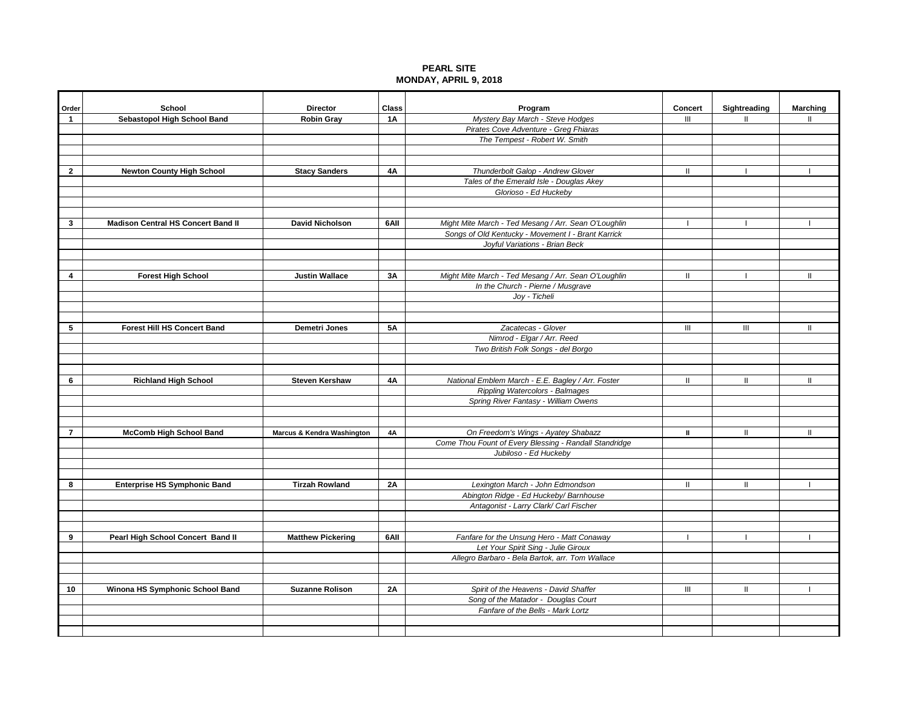## **PEARL SITE MONDAY, APRIL 9, 2018**

| Order           | School                                    | <b>Director</b>            | Class     | Program                                                | <b>Concert</b> | Sightreading                       | <b>Marching</b> |
|-----------------|-------------------------------------------|----------------------------|-----------|--------------------------------------------------------|----------------|------------------------------------|-----------------|
| $\mathbf{1}$    | Sebastopol High School Band               | <b>Robin Gray</b>          | <b>1A</b> | Mystery Bay March - Steve Hodges                       | III            | $\mathbf{II}$                      | Ш               |
|                 |                                           |                            |           | Pirates Cove Adventure - Greg Fhiaras                  |                |                                    |                 |
|                 |                                           |                            |           | The Tempest - Robert W. Smith                          |                |                                    |                 |
|                 |                                           |                            |           |                                                        |                |                                    |                 |
|                 |                                           |                            |           |                                                        |                |                                    |                 |
| $\overline{2}$  | <b>Newton County High School</b>          | <b>Stacy Sanders</b>       | <b>4A</b> | Thunderbolt Galop - Andrew Glover                      | $\mathbf{II}$  | $\mathbf{I}$                       |                 |
|                 |                                           |                            |           | Tales of the Emerald Isle - Douglas Akey               |                |                                    |                 |
|                 |                                           |                            |           | Glorioso - Ed Huckeby                                  |                |                                    |                 |
|                 |                                           |                            |           |                                                        |                |                                    |                 |
| 3               | <b>Madison Central HS Concert Band II</b> | <b>David Nicholson</b>     | 6AII      | Might Mite March - Ted Mesang / Arr. Sean O'Loughlin   | $\mathbf{I}$   | $\mathbf{I}$                       | Τ.              |
|                 |                                           |                            |           | Songs of Old Kentucky - Movement I - Brant Karrick     |                |                                    |                 |
|                 |                                           |                            |           | Joyful Variations - Brian Beck                         |                |                                    |                 |
|                 |                                           |                            |           |                                                        |                |                                    |                 |
| 4               | <b>Forest High School</b>                 | <b>Justin Wallace</b>      | 3A        | Might Mite March - Ted Mesang / Arr. Sean O'Loughlin   | Ш              |                                    | $\mathbf{II}$   |
|                 |                                           |                            |           | In the Church - Pierne / Musgrave                      |                |                                    |                 |
|                 |                                           |                            |           | Joy - Ticheli                                          |                |                                    |                 |
|                 |                                           |                            |           |                                                        |                |                                    |                 |
|                 |                                           |                            |           |                                                        |                |                                    |                 |
| 5               | <b>Forest Hill HS Concert Band</b>        | Demetri Jones              | 5A        | Zacatecas - Glover                                     | $\mathbf{III}$ | $\ensuremath{\mathsf{III}}\xspace$ | $\mathbf{II}$   |
|                 |                                           |                            |           | Nimrod - Elgar / Arr. Reed                             |                |                                    |                 |
|                 |                                           |                            |           | Two British Folk Songs - del Borgo                     |                |                                    |                 |
|                 |                                           |                            |           |                                                        |                |                                    |                 |
| 6               | <b>Richland High School</b>               | <b>Steven Kershaw</b>      | <b>4A</b> | National Emblem March - E.E. Bagley / Arr. Foster      | Ш              |                                    | Ш               |
|                 |                                           |                            |           | Rippling Watercolors - Balmages                        |                |                                    |                 |
|                 |                                           |                            |           | Spring River Fantasy - William Owens                   |                |                                    |                 |
|                 |                                           |                            |           |                                                        |                |                                    |                 |
| $\overline{7}$  | <b>McComb High School Band</b>            | Marcus & Kendra Washington | 4A        | On Freedom's Wings - Ayatey Shabazz                    | Ш              | $\mathbf{H}$                       | $\mathbf{I}$    |
|                 |                                           |                            |           | Come Thou Fount of Every Blessing - Randall Standridge |                |                                    |                 |
|                 |                                           |                            |           | Jubiloso - Ed Huckeby                                  |                |                                    |                 |
|                 |                                           |                            |           |                                                        |                |                                    |                 |
|                 |                                           |                            |           |                                                        |                |                                    |                 |
| 8               | <b>Enterprise HS Symphonic Band</b>       | <b>Tirzah Rowland</b>      | 2A        | Lexington March - John Edmondson                       | Ш              | Ш                                  |                 |
|                 |                                           |                            |           | Abington Ridge - Ed Huckeby/ Barnhouse                 |                |                                    |                 |
|                 |                                           |                            |           | Antagonist - Larry Clark/ Carl Fischer                 |                |                                    |                 |
|                 |                                           |                            |           |                                                        |                |                                    |                 |
| 9               | Pearl High School Concert Band II         | <b>Matthew Pickering</b>   | 6AII      | Fanfare for the Unsung Hero - Matt Conaway             |                |                                    |                 |
|                 |                                           |                            |           | Let Your Spirit Sing - Julie Giroux                    |                |                                    |                 |
|                 |                                           |                            |           | Allegro Barbaro - Bela Bartok, arr. Tom Wallace        |                |                                    |                 |
|                 |                                           |                            |           |                                                        |                |                                    |                 |
|                 |                                           |                            |           |                                                        |                |                                    |                 |
| 10 <sup>1</sup> | Winona HS Symphonic School Band           | <b>Suzanne Rolison</b>     | 2A        | Spirit of the Heavens - David Shaffer                  | $\mathbf{III}$ | $\mathbf{H}$                       |                 |
|                 |                                           |                            |           | Song of the Matador - Douglas Court                    |                |                                    |                 |
|                 |                                           |                            |           | Fanfare of the Bells - Mark Lortz                      |                |                                    |                 |
|                 |                                           |                            |           |                                                        |                |                                    |                 |
|                 |                                           |                            |           |                                                        |                |                                    |                 |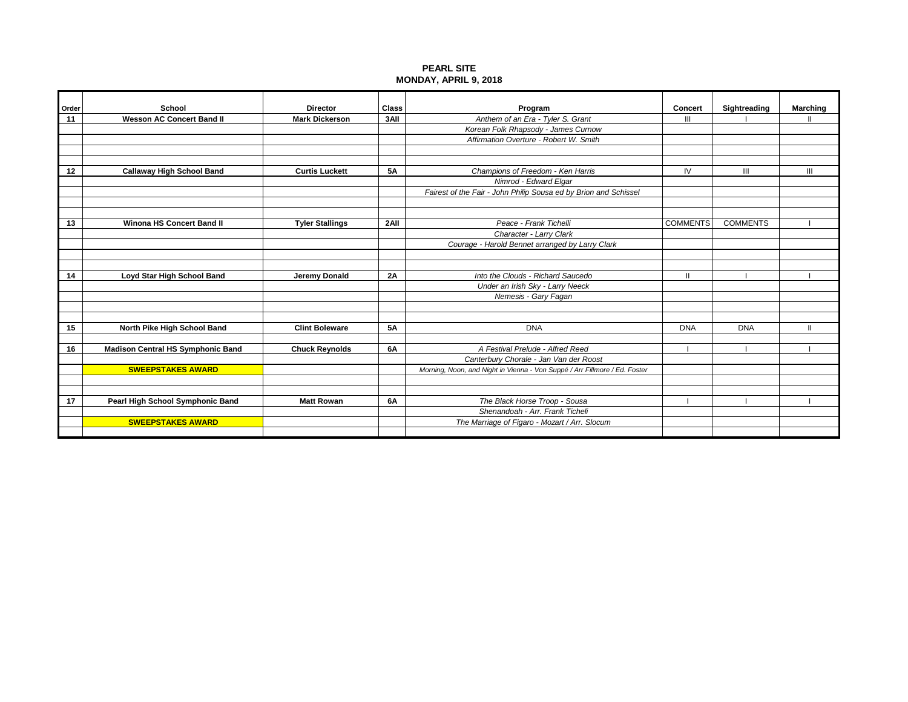## **PEARL SITE MONDAY, APRIL 9, 2018**

| Order | School                                   | <b>Director</b>        | <b>Class</b> | Program                                                                    | <b>Concert</b>  | Sightreading    | <b>Marching</b> |
|-------|------------------------------------------|------------------------|--------------|----------------------------------------------------------------------------|-----------------|-----------------|-----------------|
| 11    | <b>Wesson AC Concert Band II</b>         | <b>Mark Dickerson</b>  | 3AII         | Anthem of an Era - Tyler S. Grant                                          | $\mathbf{III}$  |                 |                 |
|       |                                          |                        |              | Korean Folk Rhapsody - James Curnow                                        |                 |                 |                 |
|       |                                          |                        |              | Affirmation Overture - Robert W. Smith                                     |                 |                 |                 |
|       |                                          |                        |              |                                                                            |                 |                 |                 |
|       |                                          |                        |              |                                                                            |                 |                 |                 |
| 12    | <b>Callaway High School Band</b>         | <b>Curtis Luckett</b>  | 5Α           | Champions of Freedom - Ken Harris                                          | IV              | III             | Ш               |
|       |                                          |                        |              | Nimrod - Edward Elgar                                                      |                 |                 |                 |
|       |                                          |                        |              | Fairest of the Fair - John Philip Sousa ed by Brion and Schissel           |                 |                 |                 |
|       |                                          |                        |              |                                                                            |                 |                 |                 |
|       |                                          |                        |              |                                                                            |                 |                 |                 |
| 13    | <b>Winona HS Concert Band II</b>         | <b>Tyler Stallings</b> | 2All         | Peace - Frank Tichelli                                                     | <b>COMMENTS</b> | <b>COMMENTS</b> |                 |
|       |                                          |                        |              | Character - Larry Clark                                                    |                 |                 |                 |
|       |                                          |                        |              | Courage - Harold Bennet arranged by Larry Clark                            |                 |                 |                 |
|       |                                          |                        |              |                                                                            |                 |                 |                 |
|       |                                          |                        |              |                                                                            |                 |                 |                 |
| 14    | Loyd Star High School Band               | Jeremy Donald          | 2A           | Into the Clouds - Richard Saucedo                                          | Ш               |                 |                 |
|       |                                          |                        |              | Under an Irish Sky - Larry Neeck                                           |                 |                 |                 |
|       |                                          |                        |              | Nemesis - Gary Fagan                                                       |                 |                 |                 |
|       |                                          |                        |              |                                                                            |                 |                 |                 |
|       |                                          |                        |              |                                                                            |                 |                 |                 |
| 15    | North Pike High School Band              | <b>Clint Boleware</b>  | <b>5A</b>    | <b>DNA</b>                                                                 | <b>DNA</b>      | <b>DNA</b>      |                 |
| 16    | <b>Madison Central HS Symphonic Band</b> |                        | <b>6A</b>    | A Festival Prelude - Alfred Reed                                           |                 |                 |                 |
|       |                                          | <b>Chuck Reynolds</b>  |              |                                                                            |                 |                 |                 |
|       | <b>SWEEPSTAKES AWARD</b>                 |                        |              | Canterbury Chorale - Jan Van der Roost                                     |                 |                 |                 |
|       |                                          |                        |              | Morning, Noon, and Night in Vienna - Von Suppé / Arr Fillmore / Ed. Foster |                 |                 |                 |
|       |                                          |                        |              |                                                                            |                 |                 |                 |
| 17    | Pearl High School Symphonic Band         | <b>Matt Rowan</b>      | 6A           | The Black Horse Troop - Sousa                                              |                 |                 |                 |
|       |                                          |                        |              | Shenandoah - Arr. Frank Ticheli                                            |                 |                 |                 |
|       | <b>SWEEPSTAKES AWARD</b>                 |                        |              | The Marriage of Figaro - Mozart / Arr. Slocum                              |                 |                 |                 |
|       |                                          |                        |              |                                                                            |                 |                 |                 |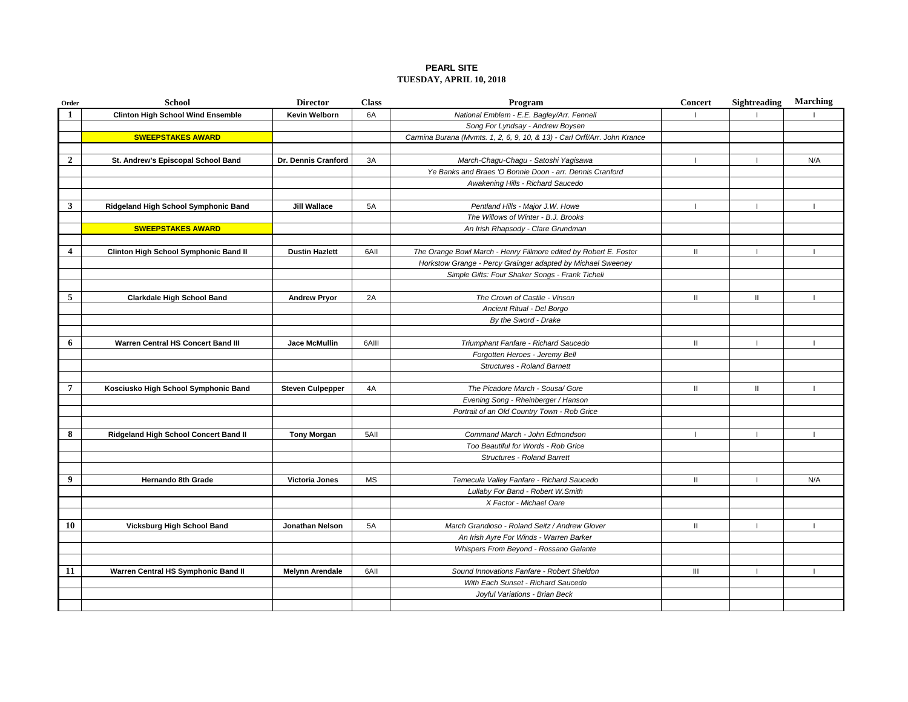### **PEARL SITE TUESDAY, APRIL 10, 2018**

| Order                   | <b>School</b>                            | <b>Director</b>         | <b>Class</b> | Program                                                                   | <b>Concert</b> | Sightreading             | <b>Marching</b> |
|-------------------------|------------------------------------------|-------------------------|--------------|---------------------------------------------------------------------------|----------------|--------------------------|-----------------|
| -1                      | <b>Clinton High School Wind Ensemble</b> | Kevin Welborn           | 6A           | National Emblem - E.E. Bagley/Arr. Fennell                                |                |                          |                 |
|                         |                                          |                         |              | Song For Lyndsay - Andrew Boysen                                          |                |                          |                 |
|                         | <b>SWEEPSTAKES AWARD</b>                 |                         |              | Carmina Burana (Mvmts. 1, 2, 6, 9, 10, & 13) - Carl Orff/Arr. John Krance |                |                          |                 |
|                         |                                          |                         |              |                                                                           |                |                          |                 |
| $\overline{2}$          | St. Andrew's Episcopal School Band       | Dr. Dennis Cranford     | 3A           | March-Chagu-Chagu - Satoshi Yagisawa                                      |                |                          | N/A             |
|                         |                                          |                         |              | Ye Banks and Braes 'O Bonnie Doon - arr. Dennis Cranford                  |                |                          |                 |
|                         |                                          |                         |              | Awakening Hills - Richard Saucedo                                         |                |                          |                 |
|                         |                                          |                         |              |                                                                           |                |                          |                 |
| $\mathbf{3}$            | Ridgeland High School Symphonic Band     | <b>Jill Wallace</b>     | <b>5A</b>    | Pentland Hills - Major J.W. Howe                                          |                | $\overline{\phantom{a}}$ |                 |
|                         |                                          |                         |              | The Willows of Winter - B.J. Brooks                                       |                |                          |                 |
|                         | <b>SWEEPSTAKES AWARD</b>                 |                         |              | An Irish Rhapsody - Clare Grundman                                        |                |                          |                 |
|                         |                                          |                         |              |                                                                           |                |                          |                 |
| $\overline{\mathbf{4}}$ | Clinton High School Symphonic Band II    | <b>Dustin Hazlett</b>   | 6AII         | The Orange Bowl March - Henry Fillmore edited by Robert E. Foster         | Ш              |                          |                 |
|                         |                                          |                         |              | Horkstow Grange - Percy Grainger adapted by Michael Sweeney               |                |                          |                 |
|                         |                                          |                         |              | Simple Gifts: Four Shaker Songs - Frank Ticheli                           |                |                          |                 |
|                         |                                          |                         |              |                                                                           |                |                          |                 |
| 5                       | <b>Clarkdale High School Band</b>        | <b>Andrew Pryor</b>     | 2A           | The Crown of Castile - Vinson                                             | $\mathbf{H}$   | $\mathbf{H}$             |                 |
|                         |                                          |                         |              | Ancient Ritual - Del Borgo                                                |                |                          |                 |
|                         |                                          |                         |              | By the Sword - Drake                                                      |                |                          |                 |
|                         |                                          |                         |              |                                                                           |                |                          |                 |
| 6                       | Warren Central HS Concert Band III       | Jace McMullin           | 6AIII        | Triumphant Fanfare - Richard Saucedo                                      | $\mathbf{H}$   | $\overline{1}$           |                 |
|                         |                                          |                         |              | Forgotten Heroes - Jeremy Bell                                            |                |                          |                 |
|                         |                                          |                         |              | <b>Structures - Roland Barnett</b>                                        |                |                          |                 |
|                         |                                          |                         |              |                                                                           |                |                          |                 |
| $\overline{7}$          | Kosciusko High School Symphonic Band     | <b>Steven Culpepper</b> | 4A           | The Picadore March - Sousa/ Gore                                          | $\mathbf{H}$   | $\mathbf{H}$             |                 |
|                         |                                          |                         |              | Evening Song - Rheinberger / Hanson                                       |                |                          |                 |
|                         |                                          |                         |              | Portrait of an Old Country Town - Rob Grice                               |                |                          |                 |
|                         |                                          |                         |              |                                                                           |                |                          |                 |
| 8                       | Ridgeland High School Concert Band II    | <b>Tony Morgan</b>      | 5AII         | Command March - John Edmondson                                            |                |                          |                 |
|                         |                                          |                         |              | Too Beautiful for Words - Rob Grice                                       |                |                          |                 |
|                         |                                          |                         |              | <b>Structures - Roland Barrett</b>                                        |                |                          |                 |
|                         |                                          |                         |              |                                                                           |                |                          |                 |
| 9                       | <b>Hernando 8th Grade</b>                | <b>Victoria Jones</b>   | <b>MS</b>    | Temecula Valley Fanfare - Richard Saucedo                                 | $\mathbf{H}$   | $\mathbf{I}$             | N/A             |
|                         |                                          |                         |              | Lullaby For Band - Robert W. Smith                                        |                |                          |                 |
|                         |                                          |                         |              | X Factor - Michael Oare                                                   |                |                          |                 |
|                         |                                          |                         |              |                                                                           |                |                          |                 |
| 10                      | Vicksburg High School Band               | <b>Jonathan Nelson</b>  | <b>5A</b>    | March Grandioso - Roland Seitz / Andrew Glover                            | $\mathbf{I}$   | $\mathbf{I}$             |                 |
|                         |                                          |                         |              | An Irish Ayre For Winds - Warren Barker                                   |                |                          |                 |
|                         |                                          |                         |              | Whispers From Beyond - Rossano Galante                                    |                |                          |                 |
|                         |                                          |                         |              |                                                                           |                |                          |                 |
| 11                      | Warren Central HS Symphonic Band II      | <b>Melynn Arendale</b>  | 6AII         | Sound Innovations Fanfare - Robert Sheldon                                | $\mathbf{III}$ |                          |                 |
|                         |                                          |                         |              | With Each Sunset - Richard Saucedo                                        |                |                          |                 |
|                         |                                          |                         |              | Joyful Variations - Brian Beck                                            |                |                          |                 |
|                         |                                          |                         |              |                                                                           |                |                          |                 |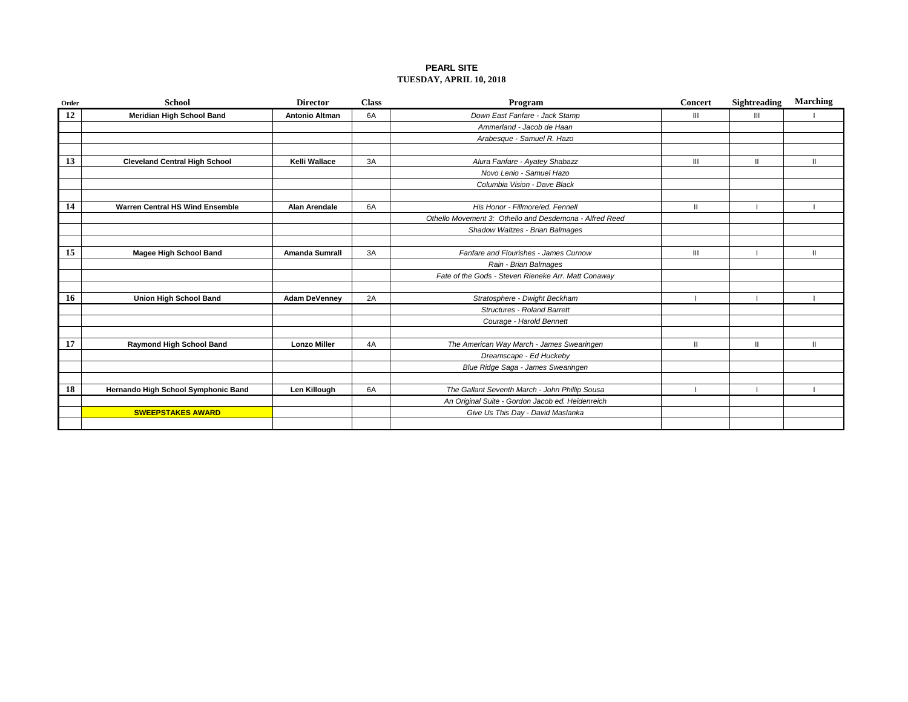### **PEARL SITE TUESDAY, APRIL 10, 2018**

| Order | <b>School</b>                          | <b>Director</b>       | <b>Class</b> | Program                                                 | <b>Concert</b> | Sightreading | <b>Marching</b> |
|-------|----------------------------------------|-----------------------|--------------|---------------------------------------------------------|----------------|--------------|-----------------|
| 12    | <b>Meridian High School Band</b>       | <b>Antonio Altman</b> | 6A           | Down East Fanfare - Jack Stamp                          | Ш              | Ш            |                 |
|       |                                        |                       |              | Ammerland - Jacob de Haan                               |                |              |                 |
|       |                                        |                       |              | Arabesque - Samuel R. Hazo                              |                |              |                 |
|       |                                        |                       |              |                                                         |                |              |                 |
| 13    | <b>Cleveland Central High School</b>   | Kelli Wallace         | 3A           | Alura Fanfare - Ayatey Shabazz                          | $\mathbf{m}$   | $\mathbf{H}$ | Ш               |
|       |                                        |                       |              | Novo Lenio - Samuel Hazo                                |                |              |                 |
|       |                                        |                       |              | Columbia Vision - Dave Black                            |                |              |                 |
|       |                                        |                       |              |                                                         |                |              |                 |
| 14    | <b>Warren Central HS Wind Ensemble</b> | <b>Alan Arendale</b>  | 6A           | His Honor - Fillmore/ed. Fennell                        | $\mathbf{H}$   |              |                 |
|       |                                        |                       |              | Othello Movement 3: Othello and Desdemona - Alfred Reed |                |              |                 |
|       |                                        |                       |              | Shadow Waltzes - Brian Balmages                         |                |              |                 |
|       |                                        |                       |              |                                                         |                |              |                 |
| 15    | Magee High School Band                 | <b>Amanda Sumrall</b> | 3A           | Fanfare and Flourishes - James Curnow                   | $\mathbf{III}$ |              | Ш               |
|       |                                        |                       |              | Rain - Brian Balmages                                   |                |              |                 |
|       |                                        |                       |              | Fate of the Gods - Steven Rieneke Arr. Matt Conaway     |                |              |                 |
|       |                                        |                       |              |                                                         |                |              |                 |
| 16    | <b>Union High School Band</b>          | <b>Adam DeVenney</b>  | 2A           | Stratosphere - Dwight Beckham                           |                |              |                 |
|       |                                        |                       |              | <b>Structures - Roland Barrett</b>                      |                |              |                 |
|       |                                        |                       |              | Courage - Harold Bennett                                |                |              |                 |
|       |                                        |                       |              |                                                         |                |              |                 |
| 17    | <b>Raymond High School Band</b>        | <b>Lonzo Miller</b>   | 4A           | The American Way March - James Swearingen               | $\mathbf{H}$   | $\mathbf{H}$ | Ш               |
|       |                                        |                       |              | Dreamscape - Ed Huckeby                                 |                |              |                 |
|       |                                        |                       |              | Blue Ridge Saga - James Swearingen                      |                |              |                 |
|       |                                        |                       |              |                                                         |                |              |                 |
| 18    | Hernando High School Symphonic Band    | Len Killough          | 6A           | The Gallant Seventh March - John Phillip Sousa          |                |              |                 |
|       |                                        |                       |              | An Original Suite - Gordon Jacob ed. Heidenreich        |                |              |                 |
|       | <b>SWEEPSTAKES AWARD</b>               |                       |              | Give Us This Day - David Maslanka                       |                |              |                 |
|       |                                        |                       |              |                                                         |                |              |                 |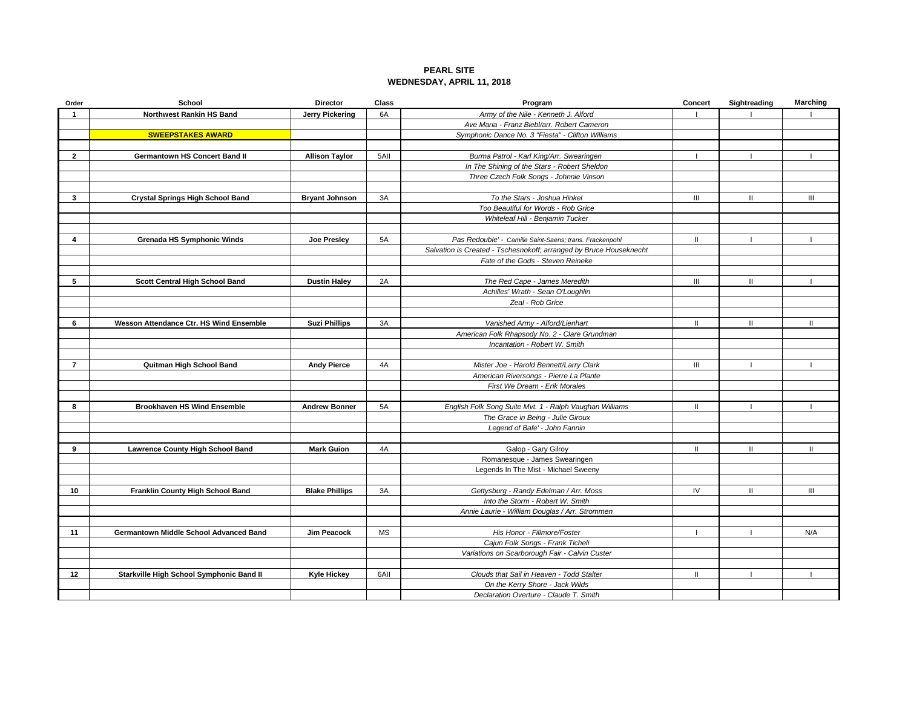## **PEARL SITE WEDNESDAY, APRIL 11, 2018**

| Order          | School                                   | <b>Director</b>       | Class     | Program                                                            | Concert            | Sightreading | Marching      |
|----------------|------------------------------------------|-----------------------|-----------|--------------------------------------------------------------------|--------------------|--------------|---------------|
|                | Northwest Rankin HS Band                 | Jerry Pickering       | 6A        | Army of the Nile - Kenneth J. Alford                               |                    |              |               |
|                |                                          |                       |           | Ave Maria - Franz Biebl/arr. Robert Cameron                        |                    |              |               |
|                | <b>SWEEPSTAKES AWARD</b>                 |                       |           | Symphonic Dance No. 3 "Fiesta" - Clifton Williams                  |                    |              |               |
|                |                                          |                       |           |                                                                    |                    |              |               |
| $\mathbf{2}$   | <b>Germantown HS Concert Band II</b>     | <b>Allison Taylor</b> | 5AII      | Burma Patrol - Karl King/Arr. Swearingen                           | - 1                |              |               |
|                |                                          |                       |           | In The Shining of the Stars - Robert Sheldon                       |                    |              |               |
|                |                                          |                       |           | Three Czech Folk Songs - Johnnie Vinson                            |                    |              |               |
|                |                                          |                       |           |                                                                    |                    |              |               |
| 3              | <b>Crystal Springs High School Band</b>  | <b>Bryant Johnson</b> | 3A        | To the Stars - Joshua Hinkel                                       | $\mathop{\rm III}$ | $\mathbf{I}$ | III           |
|                |                                          |                       |           | Too Beautiful for Words - Rob Grice                                |                    |              |               |
|                |                                          |                       |           | Whiteleaf Hill - Benjamin Tucker                                   |                    |              |               |
|                |                                          |                       |           |                                                                    |                    |              |               |
| 4              | <b>Grenada HS Symphonic Winds</b>        | Joe Presley           | 5A        | Pas Redouble' - Camille Saint-Saens; trans. Frackenpohl            | $\mathbf{II}$      |              |               |
|                |                                          |                       |           | Salvation is Created - Tschesnokoff; arranged by Bruce Houseknecht |                    |              |               |
|                |                                          |                       |           | Fate of the Gods - Steven Reineke                                  |                    |              |               |
| 5              |                                          |                       |           |                                                                    |                    | $\mathbf{H}$ |               |
|                | Scott Central High School Band           | <b>Dustin Haley</b>   | 2A        | The Red Cape - James Meredith                                      | III                |              |               |
|                |                                          |                       |           | Achilles' Wrath - Sean O'Loughlin                                  |                    |              |               |
|                |                                          |                       |           | Zeal - Rob Grice                                                   |                    |              |               |
| 6              | Wesson Attendance Ctr. HS Wind Ensemble  | <b>Suzi Phillips</b>  | 3A        | Vanished Army - Alford/Lienhart                                    | $\mathbf{H}$       | $\mathbf{I}$ | $\mathbf{H}$  |
|                |                                          |                       |           | American Folk Rhapsody No. 2 - Clare Grundman                      |                    |              |               |
|                |                                          |                       |           | Incantation - Robert W. Smith                                      |                    |              |               |
|                |                                          |                       |           |                                                                    |                    |              |               |
| $\overline{7}$ | Quitman High School Band                 | <b>Andy Pierce</b>    | 4A        | Mister Joe - Harold Bennett/Larry Clark                            | $\mathbf{III}$     |              |               |
|                |                                          |                       |           | American Riversongs - Pierre La Plante                             |                    |              |               |
|                |                                          |                       |           | First We Dream - Erik Morales                                      |                    |              |               |
|                |                                          |                       |           |                                                                    |                    |              |               |
| 8              | <b>Brookhaven HS Wind Ensemble</b>       | <b>Andrew Bonner</b>  | 5A        | English Folk Song Suite Mvt. 1 - Ralph Vaughan Williams            | $\mathbf{H}$       |              |               |
|                |                                          |                       |           | The Grace in Being - Julie Giroux                                  |                    |              |               |
|                |                                          |                       |           | Legend of Bafe' - John Fannin                                      |                    |              |               |
|                |                                          |                       |           |                                                                    |                    |              |               |
| 9              | <b>Lawrence County High School Band</b>  | <b>Mark Guion</b>     | 4A        | Galop - Gary Gilroy                                                | $\mathbf{H}$       | $\mathbf{I}$ | $\mathbf{II}$ |
|                |                                          |                       |           | Romanesque - James Swearingen                                      |                    |              |               |
|                |                                          |                       |           | Legends In The Mist - Michael Sweeny                               |                    |              |               |
|                |                                          |                       |           |                                                                    |                    |              |               |
| 10             | Franklin County High School Band         | <b>Blake Phillips</b> | 3A        | Gettysburg - Randy Edelman / Arr. Moss                             | IV                 | $\mathbf{H}$ | III           |
|                |                                          |                       |           | Into the Storm - Robert W. Smith                                   |                    |              |               |
|                |                                          |                       |           | Annie Laurie - William Douglas / Arr. Strommen                     |                    |              |               |
|                |                                          |                       |           |                                                                    |                    |              |               |
| 11             | Germantown Middle School Advanced Band   | Jim Peacock           | <b>MS</b> | His Honor - Fillmore/Foster                                        |                    |              | N/A           |
|                |                                          |                       |           | Cajun Folk Songs - Frank Ticheli                                   |                    |              |               |
|                |                                          |                       |           | Variations on Scarborough Fair - Calvin Custer                     |                    |              |               |
|                |                                          |                       |           |                                                                    |                    |              |               |
| 12             | Starkville High School Symphonic Band II | <b>Kyle Hickey</b>    | 6AII      | Clouds that Sail in Heaven - Todd Stalter                          | $\mathbf{H}$       |              |               |
|                |                                          |                       |           | On the Kerry Shore - Jack Wilds                                    |                    |              |               |
|                |                                          |                       |           | Declaration Overture - Claude T. Smith                             |                    |              |               |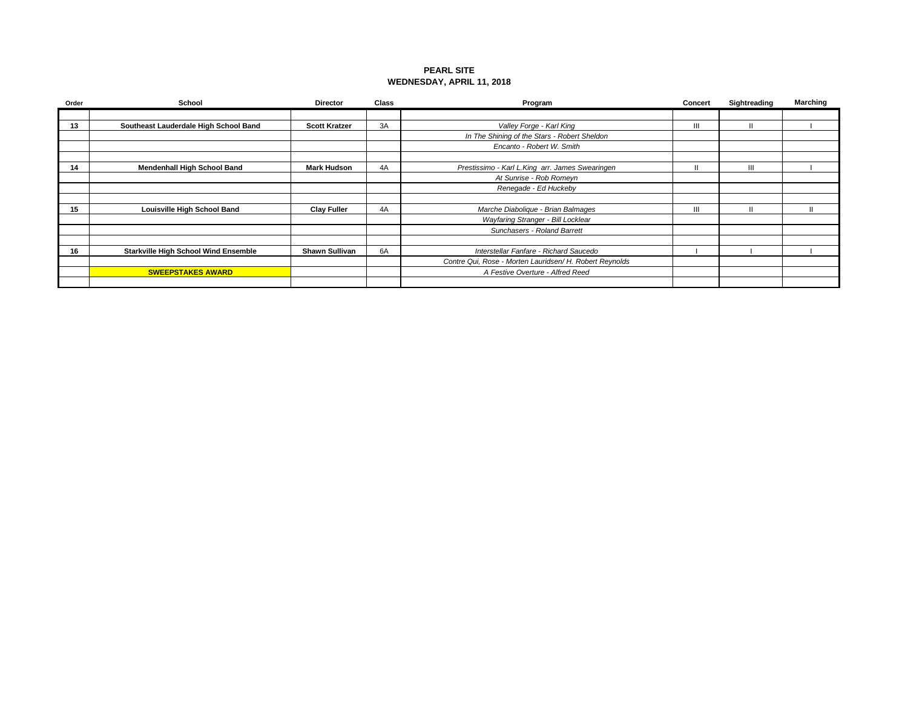## **PEARL SITE WEDNESDAY, APRIL 11, 2018**

| Order | <b>School</b>                               | <b>Director</b>       | <b>Class</b> | Program                                                 | Concert | Sightreading | Marching |
|-------|---------------------------------------------|-----------------------|--------------|---------------------------------------------------------|---------|--------------|----------|
|       |                                             |                       |              |                                                         |         |              |          |
| 13    | Southeast Lauderdale High School Band       | <b>Scott Kratzer</b>  | 3A           | Valley Forge - Karl King                                | Ш       | $\mathbf{H}$ |          |
|       |                                             |                       |              | In The Shining of the Stars - Robert Sheldon            |         |              |          |
|       |                                             |                       |              | Encanto - Robert W. Smith                               |         |              |          |
|       |                                             |                       |              |                                                         |         |              |          |
| 14    | <b>Mendenhall High School Band</b>          | <b>Mark Hudson</b>    | 4A           | Prestissimo - Karl L.King arr. James Swearingen         |         | Ш            |          |
|       |                                             |                       |              | At Sunrise - Rob Romeyn                                 |         |              |          |
|       |                                             |                       |              | Renegade - Ed Huckeby                                   |         |              |          |
|       |                                             |                       |              |                                                         |         |              |          |
| 15    | Louisville High School Band                 | <b>Clay Fuller</b>    | 4A           | Marche Diabolique - Brian Balmages                      | Ш       | $\mathbf{I}$ |          |
|       |                                             |                       |              | Wayfaring Stranger - Bill Locklear                      |         |              |          |
|       |                                             |                       |              | Sunchasers - Roland Barrett                             |         |              |          |
|       |                                             |                       |              |                                                         |         |              |          |
| 16    | <b>Starkville High School Wind Ensemble</b> | <b>Shawn Sullivan</b> | 6A           | Interstellar Fanfare - Richard Saucedo                  |         |              |          |
|       |                                             |                       |              | Contre Qui, Rose - Morten Lauridsen/ H. Robert Reynolds |         |              |          |
|       | <b>SWEEPSTAKES AWARD</b>                    |                       |              | A Festive Overture - Alfred Reed                        |         |              |          |
|       |                                             |                       |              |                                                         |         |              |          |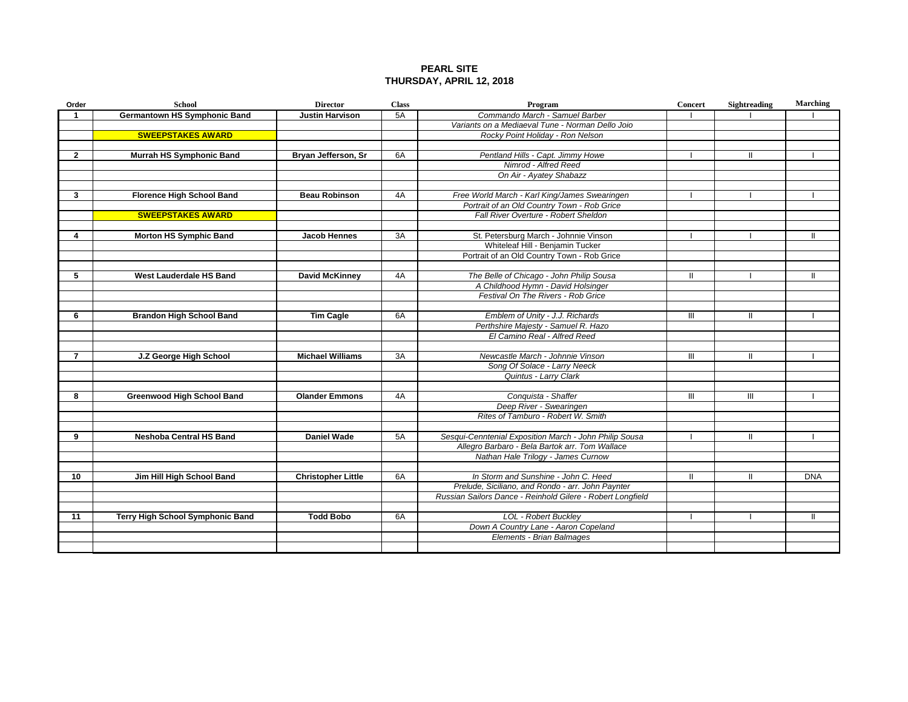## **PEARL SITE THURSDAY, APRIL 12, 2018**

| Order          | <b>School</b>                       | <b>Director</b>           | <b>Class</b> | Program                                                    | Concert        | <b>Sightreading</b> | <b>Marching</b> |
|----------------|-------------------------------------|---------------------------|--------------|------------------------------------------------------------|----------------|---------------------|-----------------|
| -1             | <b>Germantown HS Symphonic Band</b> | <b>Justin Harvison</b>    | 5A           | Commando March - Samuel Barber                             |                |                     |                 |
|                |                                     |                           |              | Variants on a Mediaeval Tune - Norman Dello Joio           |                |                     |                 |
|                | <b>SWEEPSTAKES AWARD</b>            |                           |              | Rocky Point Holiday - Ron Nelson                           |                |                     |                 |
|                |                                     |                           |              |                                                            |                |                     |                 |
| $\overline{2}$ | Murrah HS Symphonic Band            | Bryan Jefferson, Sr       | 6A           | Pentland Hills - Capt. Jimmy Howe                          |                | $\mathbf{H}$        |                 |
|                |                                     |                           |              | Nimrod - Alfred Reed                                       |                |                     |                 |
|                |                                     |                           |              | On Air - Ayatey Shabazz                                    |                |                     |                 |
|                |                                     |                           |              |                                                            |                |                     |                 |
| 3              | <b>Florence High School Band</b>    | <b>Beau Robinson</b>      | 4A           | Free World March - Karl King/James Swearingen              |                |                     |                 |
|                |                                     |                           |              | Portrait of an Old Country Town - Rob Grice                |                |                     |                 |
|                | <b>SWEEPSTAKES AWARD</b>            |                           |              | Fall River Overture - Robert Sheldon                       |                |                     |                 |
|                |                                     |                           |              |                                                            |                |                     |                 |
| 4              | <b>Morton HS Symphic Band</b>       | Jacob Hennes              | 3A           | St. Petersburg March - Johnnie Vinson                      |                |                     | Ш               |
|                |                                     |                           |              | Whiteleaf Hill - Benjamin Tucker                           |                |                     |                 |
|                |                                     |                           |              | Portrait of an Old Country Town - Rob Grice                |                |                     |                 |
|                |                                     |                           |              |                                                            |                |                     |                 |
| 5              | West Lauderdale HS Band             | <b>David McKinney</b>     | 4A           | The Belle of Chicago - John Philip Sousa                   | Ш              |                     | Ш               |
|                |                                     |                           |              | A Childhood Hymn - David Holsinger                         |                |                     |                 |
|                |                                     |                           |              | Festival On The Rivers - Rob Grice                         |                |                     |                 |
|                |                                     |                           |              |                                                            |                |                     |                 |
| 6              | <b>Brandon High School Band</b>     | Tim Cagle                 | 6A           | Emblem of Unity - J.J. Richards                            | $\mathbf{III}$ | $\mathbf{I}$        |                 |
|                |                                     |                           |              | Perthshire Majesty - Samuel R. Hazo                        |                |                     |                 |
|                |                                     |                           |              | El Camino Real - Alfred Reed                               |                |                     |                 |
|                |                                     |                           |              |                                                            |                |                     |                 |
| $\overline{7}$ | J.Z George High School              | <b>Michael Williams</b>   | 3A           | Newcastle March - Johnnie Vinson                           | Ш              | Ш                   |                 |
|                |                                     |                           |              | Song Of Solace - Larry Neeck                               |                |                     |                 |
|                |                                     |                           |              | Quintus - Larry Clark                                      |                |                     |                 |
|                |                                     |                           |              |                                                            |                |                     |                 |
| 8              | <b>Greenwood High School Band</b>   | <b>Olander Emmons</b>     | 4A           | Conquista - Shaffer                                        | III            | Ш                   |                 |
|                |                                     |                           |              | Deep River - Swearingen                                    |                |                     |                 |
|                |                                     |                           |              | Rites of Tamburo - Robert W. Smith                         |                |                     |                 |
|                |                                     |                           |              |                                                            |                |                     |                 |
| 9              | <b>Neshoba Central HS Band</b>      | <b>Daniel Wade</b>        | 5A           | Sesqui-Cenntenial Exposition March - John Philip Sousa     |                |                     |                 |
|                |                                     |                           |              | Allegro Barbaro - Bela Bartok arr. Tom Wallace             |                |                     |                 |
|                |                                     |                           |              | Nathan Hale Trilogy - James Curnow                         |                |                     |                 |
|                |                                     |                           |              |                                                            |                |                     |                 |
| 10             | Jim Hill High School Band           | <b>Christopher Little</b> | 6A           | In Storm and Sunshine - John C. Heed                       | Ш              | Ш                   | <b>DNA</b>      |
|                |                                     |                           |              | Prelude, Siciliano, and Rondo - arr. John Paynter          |                |                     |                 |
|                |                                     |                           |              | Russian Sailors Dance - Reinhold Gilere - Robert Longfield |                |                     |                 |
|                |                                     |                           |              |                                                            |                |                     |                 |
| 11             | Terry High School Symphonic Band    | <b>Todd Bobo</b>          | 6A           | <b>LOL - Robert Buckley</b>                                |                |                     | Ш               |
|                |                                     |                           |              | Down A Country Lane - Aaron Copeland                       |                |                     |                 |
|                |                                     |                           |              | Elements - Brian Balmages                                  |                |                     |                 |
|                |                                     |                           |              |                                                            |                |                     |                 |
|                |                                     |                           |              |                                                            |                |                     |                 |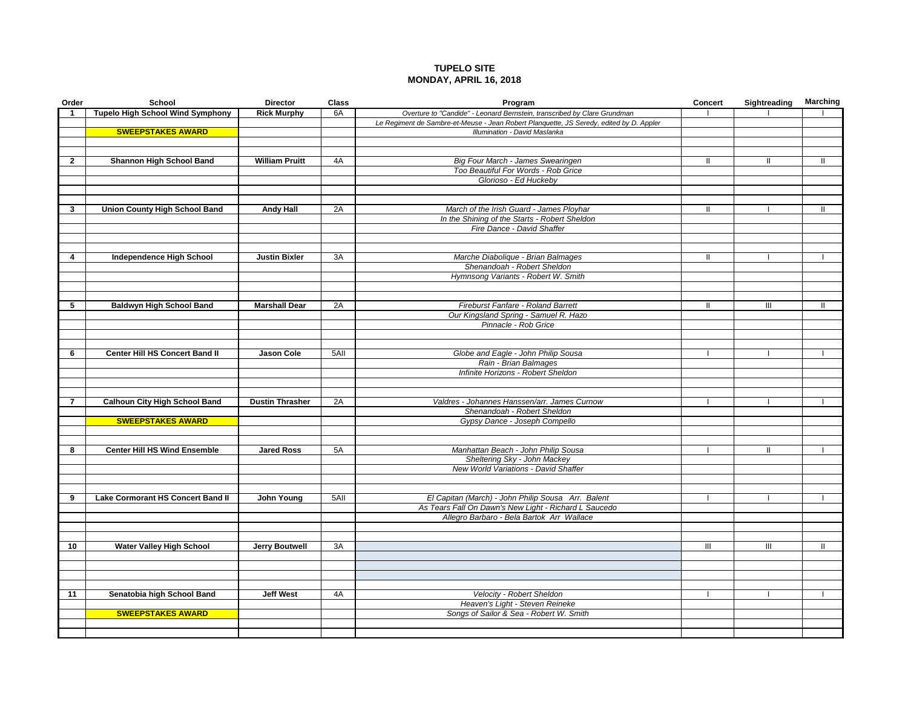## **TUPELO SITE MONDAY, APRIL 16, 2018**

| Order        | School                                  | <b>Director</b>        | <b>Class</b> | Program                                                                                                     | <b>Concert</b> | Sightreading  | <b>Marching</b> |
|--------------|-----------------------------------------|------------------------|--------------|-------------------------------------------------------------------------------------------------------------|----------------|---------------|-----------------|
| 1            | <b>Tupelo High School Wind Symphony</b> | <b>Rick Murphy</b>     | 6A           | Overture to "Candide" - Leonard Bernstein, transcribed by Clare Grundman                                    |                |               |                 |
|              |                                         |                        |              | Le Regiment de Sambre-et-Meuse - Jean Robert Planquette, JS Seredy, edited by D. Appler                     |                |               |                 |
|              | <b>SWEEPSTAKES AWARD</b>                |                        |              | Illumination - David Maslanka                                                                               |                |               |                 |
|              |                                         |                        |              |                                                                                                             |                |               |                 |
|              |                                         |                        |              |                                                                                                             |                |               |                 |
| $\mathbf{2}$ | Shannon High School Band                | <b>William Pruitt</b>  | 4A           | Big Four March - James Swearingen                                                                           | Ш              | Ш             | Ш               |
|              |                                         |                        |              | Too Beautiful For Words - Rob Grice<br>Glorioso - Ed Huckeby                                                |                |               |                 |
|              |                                         |                        |              |                                                                                                             |                |               |                 |
|              |                                         |                        |              |                                                                                                             |                |               |                 |
| 3            | <b>Union County High School Band</b>    | <b>Andy Hall</b>       | 2A           | March of the Irish Guard - James Ployhar                                                                    |                |               |                 |
|              |                                         |                        |              | In the Shining of the Starts - Robert Sheldon                                                               |                |               |                 |
|              |                                         |                        |              | Fire Dance - David Shaffer                                                                                  |                |               |                 |
|              |                                         |                        |              |                                                                                                             |                |               |                 |
|              |                                         |                        |              |                                                                                                             |                |               |                 |
| 4            | <b>Independence High School</b>         | <b>Justin Bixler</b>   | 3A           | Marche Diabolique - Brian Balmages                                                                          | Ш              |               |                 |
|              |                                         |                        |              | Shenandoah - Robert Sheldon                                                                                 |                |               |                 |
|              |                                         |                        |              | Hymnsong Variants - Robert W. Smith                                                                         |                |               |                 |
|              |                                         |                        |              |                                                                                                             |                |               |                 |
|              |                                         |                        |              |                                                                                                             |                |               |                 |
| 5            | <b>Baldwyn High School Band</b>         | <b>Marshall Dear</b>   | 2A           | Fireburst Fanfare - Roland Barrett                                                                          | Ш              | Ш             | $\mathbf{I}$    |
|              |                                         |                        |              | Our Kingsland Spring - Samuel R. Hazo                                                                       |                |               |                 |
|              |                                         |                        |              | Pinnacle - Rob Grice                                                                                        |                |               |                 |
|              |                                         |                        |              |                                                                                                             |                |               |                 |
| 6            | Center Hill HS Concert Band II          | Jason Cole             | 5All         | Globe and Eagle - John Philip Sousa                                                                         |                |               |                 |
|              |                                         |                        |              | Rain - Brian Balmages                                                                                       |                |               |                 |
|              |                                         |                        |              | Infinite Horizons - Robert Sheldon                                                                          |                |               |                 |
|              |                                         |                        |              |                                                                                                             |                |               |                 |
|              |                                         |                        |              |                                                                                                             |                |               |                 |
|              | <b>Calhoun City High School Band</b>    | <b>Dustin Thrasher</b> | 2A           | Valdres - Johannes Hanssen/arr. James Curnow                                                                |                |               |                 |
|              |                                         |                        |              | Shenandoah - Robert Sheldon                                                                                 |                |               |                 |
|              | <b>SWEEPSTAKES AWARD</b>                |                        |              | Gypsy Dance - Joseph Compello                                                                               |                |               |                 |
|              |                                         |                        |              |                                                                                                             |                |               |                 |
|              |                                         |                        |              |                                                                                                             |                |               |                 |
| 8            | <b>Center Hill HS Wind Ensemble</b>     | <b>Jared Ross</b>      | 5A           | Manhattan Beach - John Philip Sousa                                                                         |                | $\mathbf{II}$ | $\mathbf{I}$    |
|              |                                         |                        |              | Sheltering Sky - John Mackey                                                                                |                |               |                 |
|              |                                         |                        |              | New World Variations - David Shaffer                                                                        |                |               |                 |
|              |                                         |                        |              |                                                                                                             |                |               |                 |
| 9            |                                         |                        | $5$ All      |                                                                                                             |                |               |                 |
|              | Lake Cormorant HS Concert Band II       | John Young             |              | El Capitan (March) - John Philip Sousa Arr. Balent<br>As Tears Fall On Dawn's New Light - Richard L Saucedo |                |               |                 |
|              |                                         |                        |              | Allegro Barbaro - Bela Bartok Arr Wallace                                                                   |                |               |                 |
|              |                                         |                        |              |                                                                                                             |                |               |                 |
|              |                                         |                        |              |                                                                                                             |                |               |                 |
| 10           | <b>Water Valley High School</b>         | <b>Jerry Boutwell</b>  | 3A           |                                                                                                             | Ш              | Ш             | Ш               |
|              |                                         |                        |              |                                                                                                             |                |               |                 |
|              |                                         |                        |              |                                                                                                             |                |               |                 |
|              |                                         |                        |              |                                                                                                             |                |               |                 |
|              |                                         |                        |              |                                                                                                             |                |               |                 |
| 11           | Senatobia high School Band              | <b>Jeff West</b>       | 4A           | Velocity - Robert Sheldon                                                                                   |                |               |                 |
|              |                                         |                        |              | Heaven's Light - Steven Reineke                                                                             |                |               |                 |
|              | <b>SWEEPSTAKES AWARD</b>                |                        |              | Songs of Sailor & Sea - Robert W. Smith                                                                     |                |               |                 |
|              |                                         |                        |              |                                                                                                             |                |               |                 |
|              |                                         |                        |              |                                                                                                             |                |               |                 |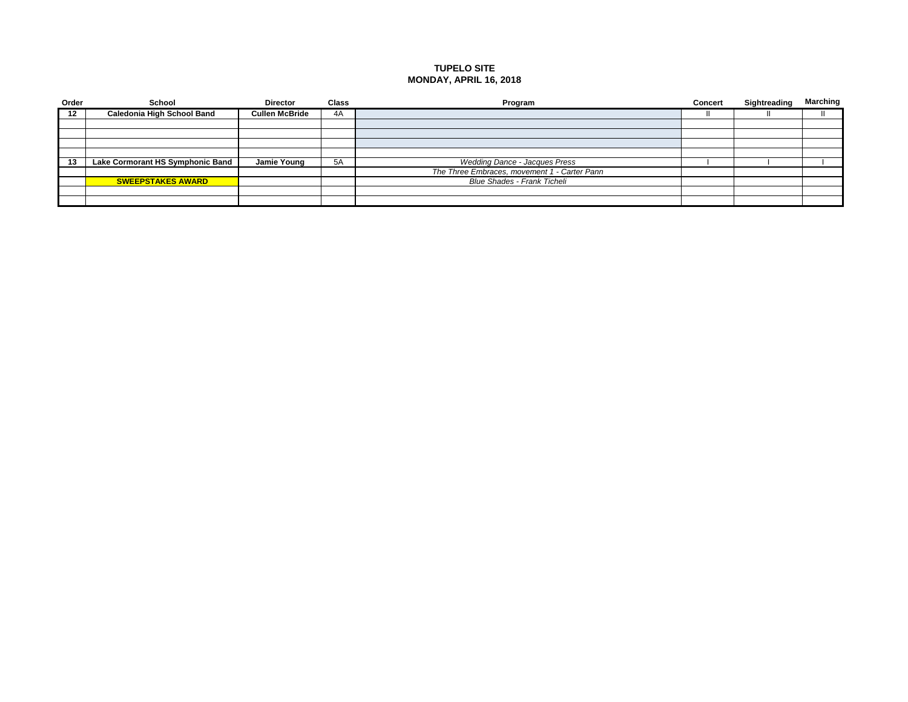## **TUPELO SITE MONDAY, APRIL 16, 2018**

| Order | School                            | <b>Director</b>       | <b>Class</b> | Program                                      | <b>Concert</b> | Sightreading | Marching |
|-------|-----------------------------------|-----------------------|--------------|----------------------------------------------|----------------|--------------|----------|
| 12    | <b>Caledonia High School Band</b> | <b>Cullen McBride</b> | 4A           |                                              |                |              |          |
|       |                                   |                       |              |                                              |                |              |          |
|       |                                   |                       |              |                                              |                |              |          |
|       |                                   |                       |              |                                              |                |              |          |
|       |                                   |                       |              |                                              |                |              |          |
| 13    | Lake Cormorant HS Symphonic Band  | Jamie Young           | 5A           | <b>Wedding Dance - Jacques Press</b>         |                |              |          |
|       |                                   |                       |              | The Three Embraces, movement 1 - Carter Pann |                |              |          |
|       | <b>SWEEPSTAKES AWARD</b>          |                       |              | <b>Blue Shades - Frank Ticheli</b>           |                |              |          |
|       |                                   |                       |              |                                              |                |              |          |
|       |                                   |                       |              |                                              |                |              |          |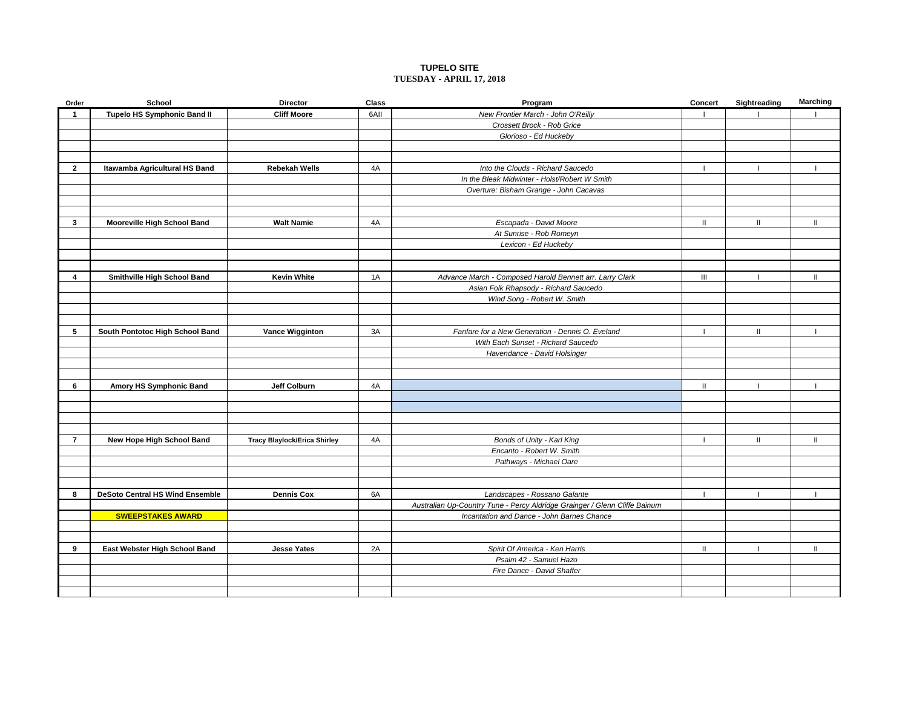#### **TUPELO SITE TUESDAY - APRIL 17, 2018**

| Order          | School                                 | <b>Director</b>              | Class | Program                                                                    | Concert                            | Sightreading  | <b>Marching</b> |
|----------------|----------------------------------------|------------------------------|-------|----------------------------------------------------------------------------|------------------------------------|---------------|-----------------|
| -1             | <b>Tupelo HS Symphonic Band II</b>     | <b>Cliff Moore</b>           | 6AII  | New Frontier March - John O'Reilly                                         |                                    |               |                 |
|                |                                        |                              |       | Crossett Brock - Rob Grice                                                 |                                    |               |                 |
|                |                                        |                              |       | Glorioso - Ed Huckeby                                                      |                                    |               |                 |
|                |                                        |                              |       |                                                                            |                                    |               |                 |
|                |                                        |                              |       |                                                                            |                                    |               |                 |
| $\mathbf{2}$   | Itawamba Agricultural HS Band          | <b>Rebekah Wells</b>         | 4A    | Into the Clouds - Richard Saucedo                                          |                                    |               |                 |
|                |                                        |                              |       | In the Bleak Midwinter - Holst/Robert W Smith                              |                                    |               |                 |
|                |                                        |                              |       | Overture: Bisham Grange - John Cacavas                                     |                                    |               |                 |
|                |                                        |                              |       |                                                                            |                                    |               |                 |
|                |                                        |                              |       |                                                                            |                                    |               |                 |
| $\mathbf{3}$   | <b>Mooreville High School Band</b>     | <b>Walt Namie</b>            | 4A    | Escapada - David Moore                                                     | $\mathbf{H}$                       | $\mathbf{H}$  | $\mathbf{H}$    |
|                |                                        |                              |       | At Sunrise - Rob Romeyn                                                    |                                    |               |                 |
|                |                                        |                              |       | Lexicon - Ed Huckeby                                                       |                                    |               |                 |
|                |                                        |                              |       |                                                                            |                                    |               |                 |
|                |                                        |                              |       |                                                                            |                                    |               |                 |
| 4              | Smithville High School Band            | <b>Kevin White</b>           | 1A    | Advance March - Composed Harold Bennett arr. Larry Clark                   | $\ensuremath{\mathsf{III}}\xspace$ |               | п               |
|                |                                        |                              |       | Asian Folk Rhapsody - Richard Saucedo                                      |                                    |               |                 |
|                |                                        |                              |       | Wind Song - Robert W. Smith                                                |                                    |               |                 |
|                |                                        |                              |       |                                                                            |                                    |               |                 |
|                |                                        |                              |       |                                                                            |                                    |               |                 |
| 5              | South Pontotoc High School Band        | <b>Vance Wigginton</b>       | 3A    | Fanfare for a New Generation - Dennis O. Eveland                           |                                    | $\mathbf{H}$  |                 |
|                |                                        |                              |       | With Each Sunset - Richard Saucedo                                         |                                    |               |                 |
|                |                                        |                              |       | Havendance - David Holsinger                                               |                                    |               |                 |
|                |                                        |                              |       |                                                                            |                                    |               |                 |
|                |                                        |                              |       |                                                                            |                                    |               |                 |
| 6              | Amory HS Symphonic Band                | Jeff Colburn                 | 4A    |                                                                            | Ш                                  |               |                 |
|                |                                        |                              |       |                                                                            |                                    |               |                 |
|                |                                        |                              |       |                                                                            |                                    |               |                 |
|                |                                        |                              |       |                                                                            |                                    |               |                 |
|                |                                        |                              |       |                                                                            |                                    |               |                 |
| $\overline{7}$ | New Hope High School Band              | Tracy Blaylock/Erica Shirley | 4A    | Bonds of Unity - Karl King                                                 |                                    | $\mathbf{II}$ | $\mathbf{II}$   |
|                |                                        |                              |       | Encanto - Robert W. Smith                                                  |                                    |               |                 |
|                |                                        |                              |       | Pathways - Michael Oare                                                    |                                    |               |                 |
|                |                                        |                              |       |                                                                            |                                    |               |                 |
|                |                                        |                              |       |                                                                            |                                    |               |                 |
| 8              | <b>DeSoto Central HS Wind Ensemble</b> | <b>Dennis Cox</b>            | 6A    | Landscapes - Rossano Galante                                               | $\mathbf{I}$                       |               |                 |
|                |                                        |                              |       | Australian Up-Country Tune - Percy Aldridge Grainger / Glenn Cliffe Bainum |                                    |               |                 |
|                | <b>SWEEPSTAKES AWARD</b>               |                              |       | Incantation and Dance - John Barnes Chance                                 |                                    |               |                 |
|                |                                        |                              |       |                                                                            |                                    |               |                 |
|                |                                        |                              |       |                                                                            |                                    |               |                 |
| 9              | East Webster High School Band          | <b>Jesse Yates</b>           | 2A    | Spirit Of America - Ken Harris                                             | Ш.                                 |               | Ш               |
|                |                                        |                              |       | Psalm 42 - Samuel Hazo                                                     |                                    |               |                 |
|                |                                        |                              |       | Fire Dance - David Shaffer                                                 |                                    |               |                 |
|                |                                        |                              |       |                                                                            |                                    |               |                 |
|                |                                        |                              |       |                                                                            |                                    |               |                 |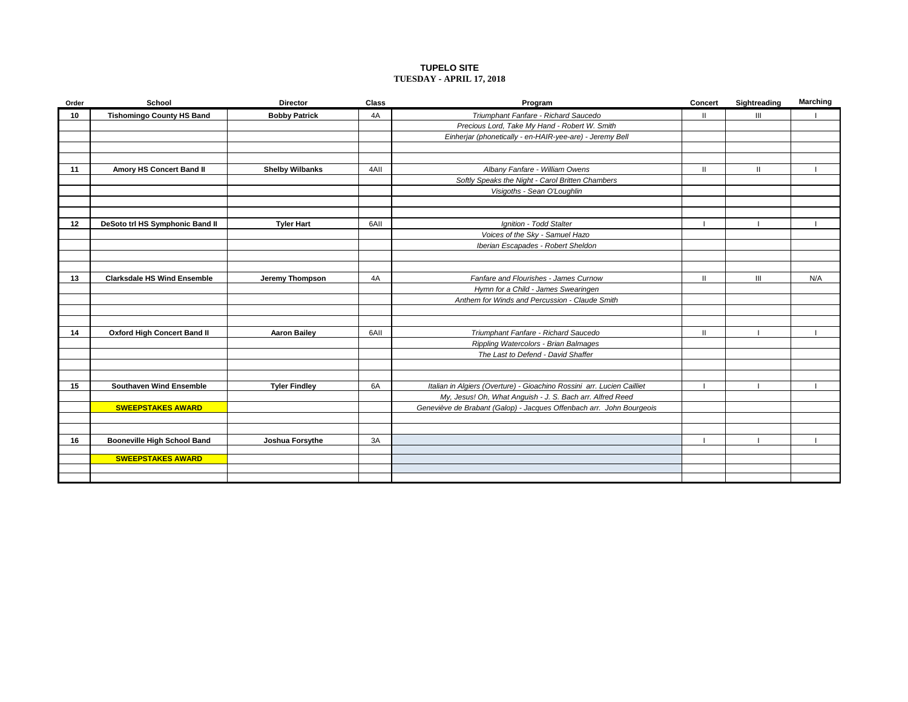#### **TUPELO SITE TUESDAY - APRIL 17, 2018**

| Order | School                             | <b>Director</b>        | Class | Program                                                                | Concert      | Sightreading | <b>Marching</b> |
|-------|------------------------------------|------------------------|-------|------------------------------------------------------------------------|--------------|--------------|-----------------|
| 10    | <b>Tishomingo County HS Band</b>   | <b>Bobby Patrick</b>   | 4A    | Triumphant Fanfare - Richard Saucedo                                   | $\mathbf{H}$ | Ш            |                 |
|       |                                    |                        |       | Precious Lord, Take My Hand - Robert W. Smith                          |              |              |                 |
|       |                                    |                        |       | Einherjar (phonetically - en-HAIR-yee-are) - Jeremy Bell               |              |              |                 |
|       |                                    |                        |       |                                                                        |              |              |                 |
|       |                                    |                        |       |                                                                        |              |              |                 |
| 11    | Amory HS Concert Band II           | <b>Shelby Wilbanks</b> | 4AII  | Albany Fanfare - William Owens                                         | $\mathbf{H}$ | $\mathbf{H}$ |                 |
|       |                                    |                        |       | Softly Speaks the Night - Carol Britten Chambers                       |              |              |                 |
|       |                                    |                        |       | Visigoths - Sean O'Loughlin                                            |              |              |                 |
|       |                                    |                        |       |                                                                        |              |              |                 |
|       |                                    |                        |       |                                                                        |              |              |                 |
| 12    | DeSoto trl HS Symphonic Band II    | <b>Tyler Hart</b>      | 6AII  | Ignition - Todd Stalter                                                |              |              |                 |
|       |                                    |                        |       | Voices of the Sky - Samuel Hazo                                        |              |              |                 |
|       |                                    |                        |       | Iberian Escapades - Robert Sheldon                                     |              |              |                 |
|       |                                    |                        |       |                                                                        |              |              |                 |
|       |                                    |                        |       |                                                                        |              |              |                 |
| 13    | <b>Clarksdale HS Wind Ensemble</b> | Jeremy Thompson        | 4A    | Fanfare and Flourishes - James Curnow                                  | $\mathbf{H}$ | III          | N/A             |
|       |                                    |                        |       | Hymn for a Child - James Swearingen                                    |              |              |                 |
|       |                                    |                        |       | Anthem for Winds and Percussion - Claude Smith                         |              |              |                 |
|       |                                    |                        |       |                                                                        |              |              |                 |
|       |                                    |                        |       |                                                                        |              |              |                 |
| 14    | <b>Oxford High Concert Band II</b> | <b>Aaron Bailey</b>    | 6AII  | Triumphant Fanfare - Richard Saucedo                                   | Ш            |              |                 |
|       |                                    |                        |       | Rippling Watercolors - Brian Balmages                                  |              |              |                 |
|       |                                    |                        |       | The Last to Defend - David Shaffer                                     |              |              |                 |
|       |                                    |                        |       |                                                                        |              |              |                 |
|       |                                    |                        |       |                                                                        |              |              |                 |
| 15    | <b>Southaven Wind Ensemble</b>     | <b>Tyler Findley</b>   | 6A    | Italian in Algiers (Overture) - Gioachino Rossini arr. Lucien Cailliet |              |              |                 |
|       |                                    |                        |       | My, Jesus! Oh, What Anguish - J. S. Bach arr. Alfred Reed              |              |              |                 |
|       | <b>SWEEPSTAKES AWARD</b>           |                        |       | Geneviève de Brabant (Galop) - Jacques Offenbach arr. John Bourgeois   |              |              |                 |
|       |                                    |                        |       |                                                                        |              |              |                 |
|       |                                    |                        |       |                                                                        |              |              |                 |
| 16    | <b>Booneville High School Band</b> | Joshua Forsythe        | 3A    |                                                                        |              |              |                 |
|       | <b>SWEEPSTAKES AWARD</b>           |                        |       |                                                                        |              |              |                 |
|       |                                    |                        |       |                                                                        |              |              |                 |
|       |                                    |                        |       |                                                                        |              |              |                 |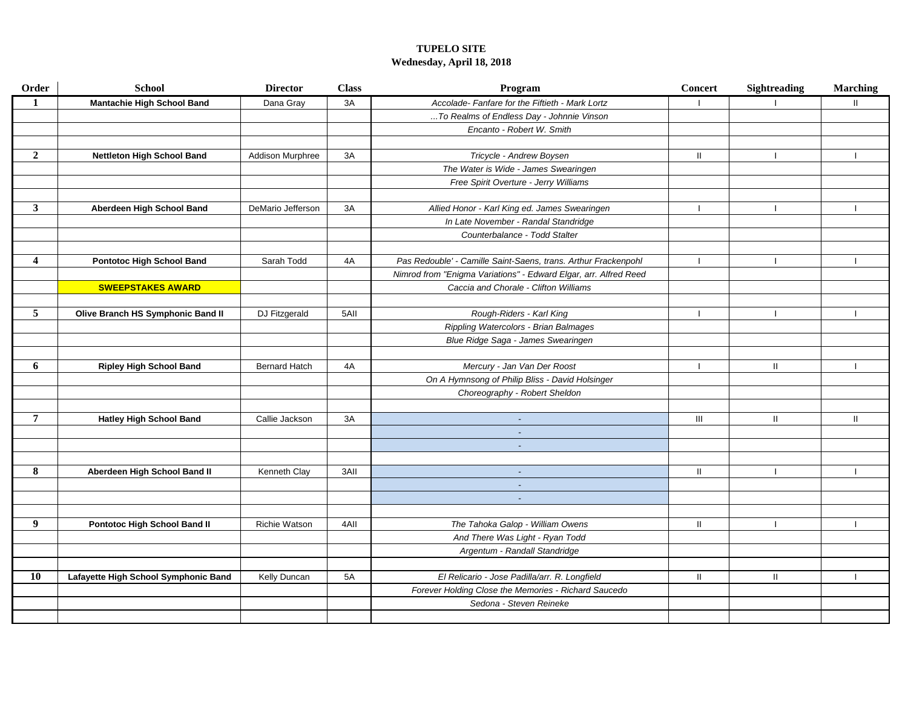# **TUPELO SITE Wednesday, April 18, 2018**

| Order                   | <b>School</b>                        | <b>Director</b>      | <b>Class</b> | Program                                                          | Concert                  | <b>Sightreading</b> | <b>Marching</b> |
|-------------------------|--------------------------------------|----------------------|--------------|------------------------------------------------------------------|--------------------------|---------------------|-----------------|
| $\mathbf{1}$            | <b>Mantachie High School Band</b>    | Dana Gray            | 3A           | Accolade- Fanfare for the Fiftieth - Mark Lortz                  |                          |                     | $\mathbf{H}$    |
|                         |                                      |                      |              | To Realms of Endless Day - Johnnie Vinson                        |                          |                     |                 |
|                         |                                      |                      |              | Encanto - Robert W. Smith                                        |                          |                     |                 |
|                         |                                      |                      |              |                                                                  |                          |                     |                 |
| $\overline{2}$          | Nettleton High School Band           | Addison Murphree     | 3A           | Tricycle - Andrew Boysen                                         | Ш                        |                     |                 |
|                         |                                      |                      |              | The Water is Wide - James Swearingen                             |                          |                     |                 |
|                         |                                      |                      |              | Free Spirit Overture - Jerry Williams                            |                          |                     |                 |
|                         |                                      |                      |              |                                                                  |                          |                     |                 |
| $\mathbf{3}$            | Aberdeen High School Band            | DeMario Jefferson    | 3A           | Allied Honor - Karl King ed. James Swearingen                    | $\overline{\phantom{a}}$ |                     |                 |
|                         |                                      |                      |              | In Late November - Randal Standridge                             |                          |                     |                 |
|                         |                                      |                      |              | Counterbalance - Todd Stalter                                    |                          |                     |                 |
|                         |                                      |                      |              |                                                                  |                          |                     |                 |
| $\overline{\mathbf{4}}$ | <b>Pontotoc High School Band</b>     | Sarah Todd           | 4A           | Pas Redouble' - Camille Saint-Saens, trans. Arthur Frackenpohl   | $\overline{1}$           |                     |                 |
|                         |                                      |                      |              | Nimrod from "Enigma Variations" - Edward Elgar, arr. Alfred Reed |                          |                     |                 |
|                         | <b>SWEEPSTAKES AWARD</b>             |                      |              | Caccia and Chorale - Clifton Williams                            |                          |                     |                 |
|                         |                                      |                      |              |                                                                  |                          |                     |                 |
| 5                       | Olive Branch HS Symphonic Band II    | DJ Fitzgerald        | 5AII         | Rough-Riders - Karl King                                         | -1                       |                     |                 |
|                         |                                      |                      |              | Rippling Watercolors - Brian Balmages                            |                          |                     |                 |
|                         |                                      |                      |              | Blue Ridge Saga - James Swearingen                               |                          |                     |                 |
|                         |                                      |                      |              |                                                                  |                          |                     |                 |
| 6                       | <b>Ripley High School Band</b>       | <b>Bernard Hatch</b> | 4A           | Mercury - Jan Van Der Roost                                      |                          | Ш.                  |                 |
|                         |                                      |                      |              | On A Hymnsong of Philip Bliss - David Holsinger                  |                          |                     |                 |
|                         |                                      |                      |              | Choreography - Robert Sheldon                                    |                          |                     |                 |
|                         |                                      |                      |              |                                                                  |                          |                     |                 |
| 7                       | <b>Hatley High School Band</b>       | Callie Jackson       | 3A           | $\omega$                                                         | Ш                        | Ш                   | $\mathbf{H}$    |
|                         |                                      |                      |              | $\omega$                                                         |                          |                     |                 |
|                         |                                      |                      |              | $\sim$                                                           |                          |                     |                 |
|                         |                                      |                      |              |                                                                  |                          |                     |                 |
| 8                       | Aberdeen High School Band II         | Kenneth Clay         | 3AII         | $\omega$                                                         | Ш                        |                     |                 |
|                         |                                      |                      |              | $\sim$                                                           |                          |                     |                 |
|                         |                                      |                      |              | $\blacksquare$                                                   |                          |                     |                 |
|                         |                                      |                      |              |                                                                  |                          |                     |                 |
| 9                       | Pontotoc High School Band II         | Richie Watson        | 4AII         | The Tahoka Galop - William Owens                                 | $\mathbf{H}$             |                     |                 |
|                         |                                      |                      |              | And There Was Light - Ryan Todd                                  |                          |                     |                 |
|                         |                                      |                      |              | Argentum - Randall Standridge                                    |                          |                     |                 |
|                         |                                      |                      |              |                                                                  |                          |                     |                 |
| 10                      | Lafayette High School Symphonic Band | Kelly Duncan         | 5A           | El Relicario - Jose Padilla/arr. R. Longfield                    | $\mathbf{H}$             | Ш.                  |                 |
|                         |                                      |                      |              | Forever Holding Close the Memories - Richard Saucedo             |                          |                     |                 |
|                         |                                      |                      |              | Sedona - Steven Reineke                                          |                          |                     |                 |
|                         |                                      |                      |              |                                                                  |                          |                     |                 |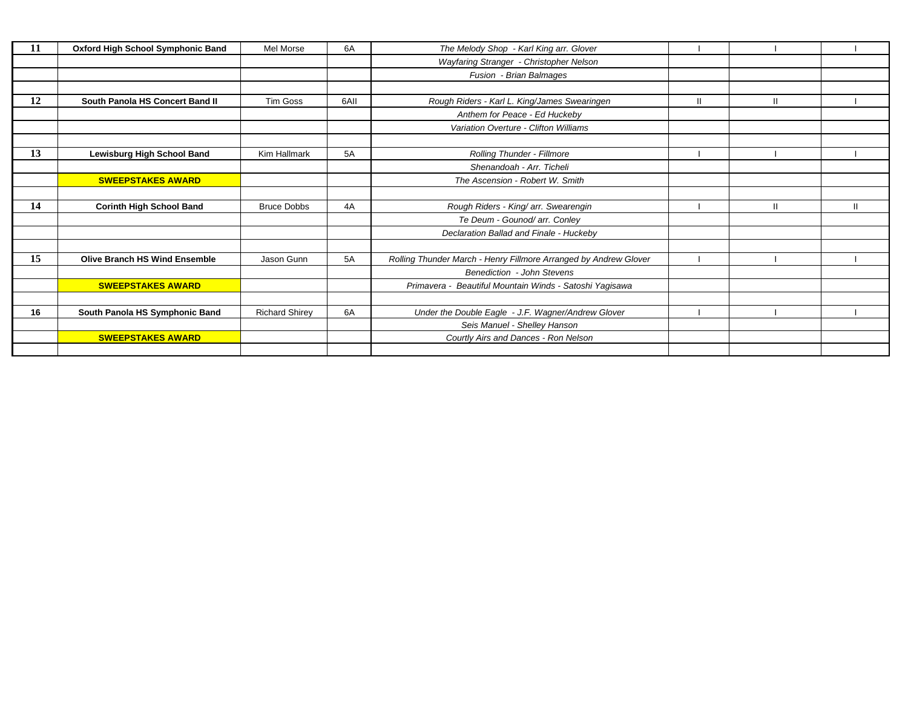| 11 | Oxford High School Symphonic Band    | Mel Morse             | 6A   | The Melody Shop - Karl King arr. Glover                          |  |              |
|----|--------------------------------------|-----------------------|------|------------------------------------------------------------------|--|--------------|
|    |                                      |                       |      | Wayfaring Stranger - Christopher Nelson                          |  |              |
|    |                                      |                       |      | Fusion - Brian Balmages                                          |  |              |
|    |                                      |                       |      |                                                                  |  |              |
| 12 | South Panola HS Concert Band II      | Tim Goss              | 6AII | Rough Riders - Karl L. King/James Swearingen                     |  |              |
|    |                                      |                       |      | Anthem for Peace - Ed Huckeby                                    |  |              |
|    |                                      |                       |      | Variation Overture - Clifton Williams                            |  |              |
|    |                                      |                       |      |                                                                  |  |              |
| 13 | Lewisburg High School Band           | Kim Hallmark          | 5A   | <b>Rolling Thunder - Fillmore</b>                                |  |              |
|    |                                      |                       |      | Shenandoah - Arr. Ticheli                                        |  |              |
|    | <b>SWEEPSTAKES AWARD</b>             |                       |      | The Ascension - Robert W. Smith                                  |  |              |
|    |                                      |                       |      |                                                                  |  |              |
| 14 | <b>Corinth High School Band</b>      | <b>Bruce Dobbs</b>    | 4A   | Rough Riders - King/ arr. Swearengin                             |  | $\mathbf{H}$ |
|    |                                      |                       |      | Te Deum - Gounod/ arr. Conley                                    |  |              |
|    |                                      |                       |      | Declaration Ballad and Finale - Huckeby                          |  |              |
|    |                                      |                       |      |                                                                  |  |              |
| 15 | <b>Olive Branch HS Wind Ensemble</b> | Jason Gunn            | 5A   | Rolling Thunder March - Henry Fillmore Arranged by Andrew Glover |  |              |
|    |                                      |                       |      | Benediction - John Stevens                                       |  |              |
|    | <b>SWEEPSTAKES AWARD</b>             |                       |      | Primavera - Beautiful Mountain Winds - Satoshi Yagisawa          |  |              |
|    |                                      |                       |      |                                                                  |  |              |
| 16 | South Panola HS Symphonic Band       | <b>Richard Shirey</b> | 6A   | Under the Double Eagle - J.F. Wagner/Andrew Glover               |  |              |
|    |                                      |                       |      | Seis Manuel - Shelley Hanson                                     |  |              |
|    | <b>SWEEPSTAKES AWARD</b>             |                       |      | Courtly Airs and Dances - Ron Nelson                             |  |              |
|    |                                      |                       |      |                                                                  |  |              |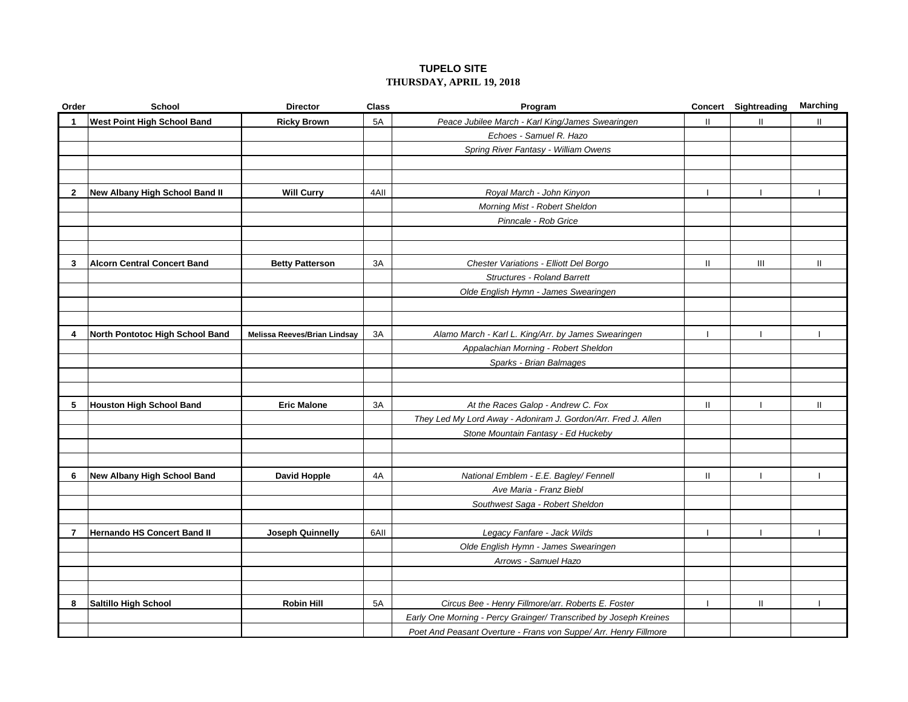# **TUPELO SITE THURSDAY, APRIL 19, 2018**

| Order          | School                             | <b>Director</b>                     | <b>Class</b> | Program                                                           |               | Concert Sightreading | <b>Marching</b> |
|----------------|------------------------------------|-------------------------------------|--------------|-------------------------------------------------------------------|---------------|----------------------|-----------------|
| $\mathbf 1$    | <b>West Point High School Band</b> | <b>Ricky Brown</b>                  | 5A           | Peace Jubilee March - Karl King/James Swearingen                  | $\mathbf{H}$  | $\mathbf{H}$         | $\mathbf{II}$   |
|                |                                    |                                     |              | Echoes - Samuel R. Hazo                                           |               |                      |                 |
|                |                                    |                                     |              | Spring River Fantasy - William Owens                              |               |                      |                 |
|                |                                    |                                     |              |                                                                   |               |                      |                 |
|                |                                    |                                     |              |                                                                   |               |                      |                 |
| $\mathbf{2}$   | New Albany High School Band II     | <b>Will Curry</b>                   | 4AII         | Royal March - John Kinyon                                         | $\mathbf{I}$  |                      |                 |
|                |                                    |                                     |              | Morning Mist - Robert Sheldon                                     |               |                      |                 |
|                |                                    |                                     |              | Pinncale - Rob Grice                                              |               |                      |                 |
|                |                                    |                                     |              |                                                                   |               |                      |                 |
|                |                                    |                                     |              |                                                                   |               |                      |                 |
| 3              | <b>Alcorn Central Concert Band</b> | <b>Betty Patterson</b>              | 3A           | Chester Variations - Elliott Del Borgo                            | Ш.            | Ш                    | Ш               |
|                |                                    |                                     |              | <b>Structures - Roland Barrett</b>                                |               |                      |                 |
|                |                                    |                                     |              | Olde English Hymn - James Swearingen                              |               |                      |                 |
|                |                                    |                                     |              |                                                                   |               |                      |                 |
|                |                                    |                                     |              |                                                                   |               |                      |                 |
| 4              | North Pontotoc High School Band    | <b>Melissa Reeves/Brian Lindsay</b> | 3A           | Alamo March - Karl L. King/Arr. by James Swearingen               |               |                      |                 |
|                |                                    |                                     |              | Appalachian Morning - Robert Sheldon                              |               |                      |                 |
|                |                                    |                                     |              | Sparks - Brian Balmages                                           |               |                      |                 |
|                |                                    |                                     |              |                                                                   |               |                      |                 |
|                |                                    |                                     |              |                                                                   |               |                      |                 |
| 5              | <b>Houston High School Band</b>    | <b>Eric Malone</b>                  | 3A           | At the Races Galop - Andrew C. Fox                                | Ш             |                      | $\mathbf{H}$    |
|                |                                    |                                     |              | They Led My Lord Away - Adoniram J. Gordon/Arr. Fred J. Allen     |               |                      |                 |
|                |                                    |                                     |              | Stone Mountain Fantasy - Ed Huckeby                               |               |                      |                 |
|                |                                    |                                     |              |                                                                   |               |                      |                 |
|                |                                    |                                     |              |                                                                   |               |                      |                 |
| 6              | New Albany High School Band        | David Hopple                        | 4A           | National Emblem - E.E. Bagley/ Fennell                            | $\mathbf{II}$ |                      |                 |
|                |                                    |                                     |              | Ave Maria - Franz Biebl                                           |               |                      |                 |
|                |                                    |                                     |              | Southwest Saga - Robert Sheldon                                   |               |                      |                 |
|                |                                    |                                     |              |                                                                   |               |                      |                 |
| $\overline{7}$ | <b>Hernando HS Concert Band II</b> | <b>Joseph Quinnelly</b>             | 6AII         | Legacy Fanfare - Jack Wilds                                       |               |                      |                 |
|                |                                    |                                     |              | Olde English Hymn - James Swearingen                              |               |                      |                 |
|                |                                    |                                     |              | Arrows - Samuel Hazo                                              |               |                      |                 |
|                |                                    |                                     |              |                                                                   |               |                      |                 |
|                |                                    |                                     |              |                                                                   |               |                      |                 |
| 8              | Saltillo High School               | <b>Robin Hill</b>                   | 5A           | Circus Bee - Henry Fillmore/arr. Roberts E. Foster                |               | Ш                    |                 |
|                |                                    |                                     |              | Early One Morning - Percy Grainger/ Transcribed by Joseph Kreines |               |                      |                 |
|                |                                    |                                     |              | Poet And Peasant Overture - Frans von Suppe/ Arr. Henry Fillmore  |               |                      |                 |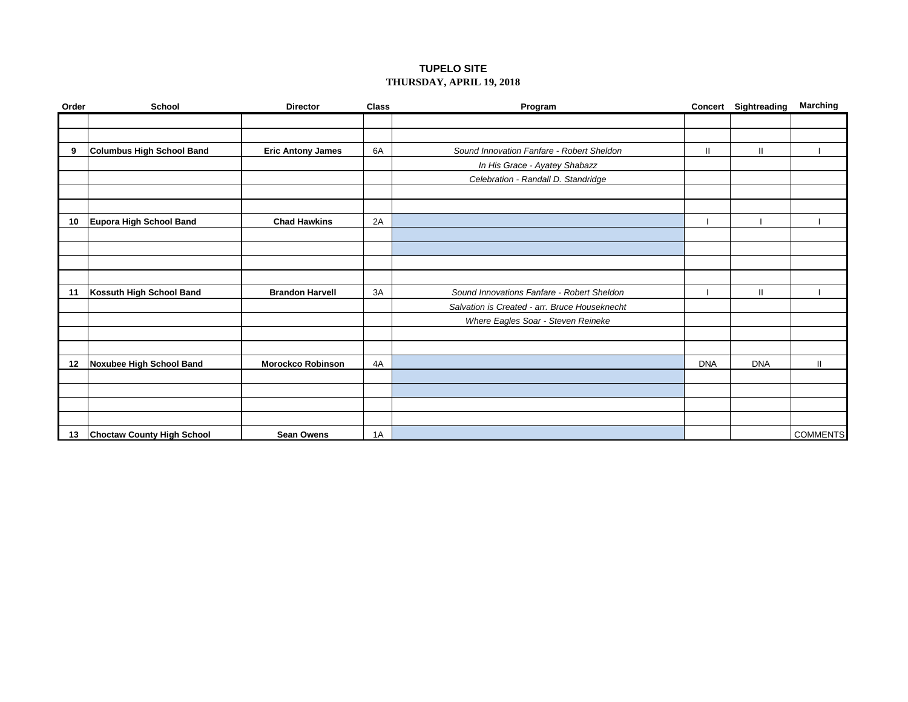# **TUPELO SITE THURSDAY, APRIL 19, 2018**

| Order | <b>School</b>                     | <b>Director</b>          | <b>Class</b> | Program                                       |              | <b>Concert Sightreading</b> | <b>Marching</b> |
|-------|-----------------------------------|--------------------------|--------------|-----------------------------------------------|--------------|-----------------------------|-----------------|
|       |                                   |                          |              |                                               |              |                             |                 |
|       |                                   |                          |              |                                               |              |                             |                 |
| 9     | <b>Columbus High School Band</b>  | <b>Eric Antony James</b> | 6A           | Sound Innovation Fanfare - Robert Sheldon     | $\mathbf{H}$ | Ш                           |                 |
|       |                                   |                          |              | In His Grace - Ayatey Shabazz                 |              |                             |                 |
|       |                                   |                          |              | Celebration - Randall D. Standridge           |              |                             |                 |
|       |                                   |                          |              |                                               |              |                             |                 |
|       |                                   |                          |              |                                               |              |                             |                 |
| 10    | <b>Eupora High School Band</b>    | <b>Chad Hawkins</b>      | 2A           |                                               |              |                             |                 |
|       |                                   |                          |              |                                               |              |                             |                 |
|       |                                   |                          |              |                                               |              |                             |                 |
|       |                                   |                          |              |                                               |              |                             |                 |
|       |                                   |                          |              |                                               |              |                             |                 |
| 11    | Kossuth High School Band          | <b>Brandon Harvell</b>   | 3A           | Sound Innovations Fanfare - Robert Sheldon    |              | $\mathbf{I}$                |                 |
|       |                                   |                          |              | Salvation is Created - arr. Bruce Houseknecht |              |                             |                 |
|       |                                   |                          |              | Where Eagles Soar - Steven Reineke            |              |                             |                 |
|       |                                   |                          |              |                                               |              |                             |                 |
|       |                                   |                          |              |                                               |              |                             |                 |
| 12    | Noxubee High School Band          | <b>Morockco Robinson</b> | 4A           |                                               | <b>DNA</b>   | <b>DNA</b>                  | $\mathsf{I}$    |
|       |                                   |                          |              |                                               |              |                             |                 |
|       |                                   |                          |              |                                               |              |                             |                 |
|       |                                   |                          |              |                                               |              |                             |                 |
|       |                                   |                          |              |                                               |              |                             |                 |
| 13    | <b>Choctaw County High School</b> | <b>Sean Owens</b>        | 1A           |                                               |              |                             | <b>COMMENTS</b> |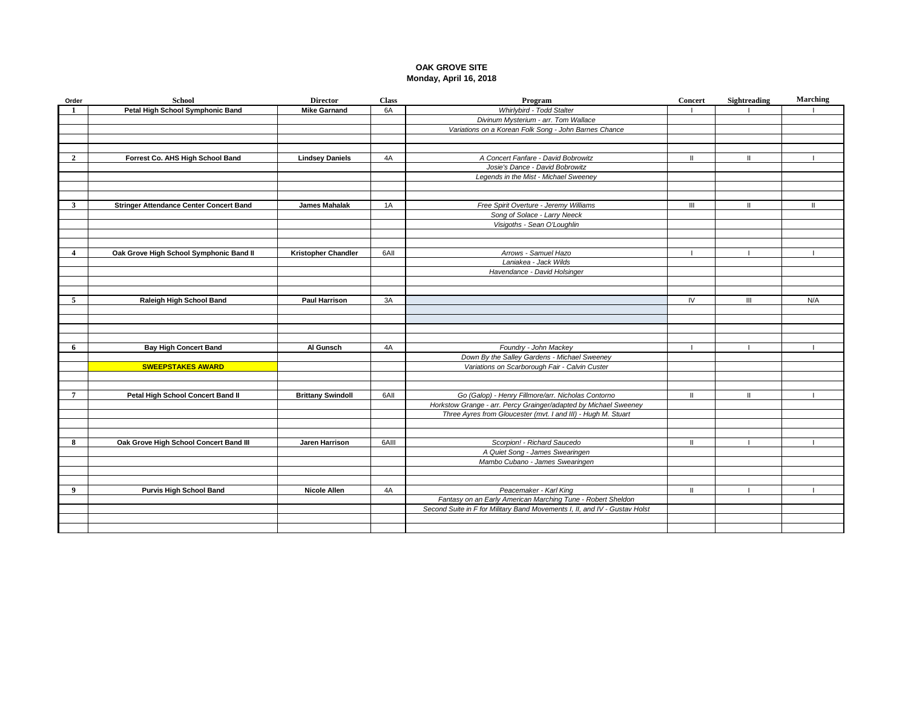#### **OAK GROVE SITE Monday, April 16, 2018**

| Order                   | School                                         | <b>Director</b>            | <b>Class</b> | Program                                                                    | <b>Concert</b> | Sightreading | Marching |
|-------------------------|------------------------------------------------|----------------------------|--------------|----------------------------------------------------------------------------|----------------|--------------|----------|
| $\blacksquare$          | Petal High School Symphonic Band               | <b>Mike Garnand</b>        | 6A           | Whirlybird - Todd Stalter                                                  |                |              |          |
|                         |                                                |                            |              | Divinum Mysterium - arr. Tom Wallace                                       |                |              |          |
|                         |                                                |                            |              | Variations on a Korean Folk Song - John Barnes Chance                      |                |              |          |
|                         |                                                |                            |              |                                                                            |                |              |          |
|                         |                                                |                            |              |                                                                            |                |              |          |
| $\overline{2}$          | Forrest Co. AHS High School Band               | <b>Lindsey Daniels</b>     | 4A           | A Concert Fanfare - David Bobrowitz                                        | $\mathbf{I}$   | Ш            |          |
|                         |                                                |                            |              | Josie's Dance - David Bobrowitz                                            |                |              |          |
|                         |                                                |                            |              | Legends in the Mist - Michael Sweeney                                      |                |              |          |
|                         |                                                |                            |              |                                                                            |                |              |          |
|                         |                                                |                            |              |                                                                            |                |              |          |
| $\mathbf{3}$            | <b>Stringer Attendance Center Concert Band</b> | <b>James Mahalak</b>       | 1A           | Free Spirit Overture - Jeremy Williams                                     | $\mathbf{III}$ | $\mathbf{H}$ | -H       |
|                         |                                                |                            |              | Song of Solace - Larry Neeck                                               |                |              |          |
|                         |                                                |                            |              | Visigoths - Sean O'Loughlin                                                |                |              |          |
|                         |                                                |                            |              |                                                                            |                |              |          |
|                         |                                                |                            |              |                                                                            |                |              |          |
| $\overline{\mathbf{4}}$ | Oak Grove High School Symphonic Band II        | <b>Kristopher Chandler</b> | 6AII         | Arrows - Samuel Hazo                                                       |                |              |          |
|                         |                                                |                            |              | Lanjakea - Jack Wilds                                                      |                |              |          |
|                         |                                                |                            |              | Havendance - David Holsinger                                               |                |              |          |
|                         |                                                |                            |              |                                                                            |                |              |          |
|                         |                                                |                            |              |                                                                            |                |              |          |
| 5                       | Raleigh High School Band                       | <b>Paul Harrison</b>       | 3A           |                                                                            | IV             | III          | N/A      |
|                         |                                                |                            |              |                                                                            |                |              |          |
|                         |                                                |                            |              |                                                                            |                |              |          |
|                         |                                                |                            |              |                                                                            |                |              |          |
|                         |                                                |                            |              |                                                                            |                |              |          |
| 6                       | <b>Bay High Concert Band</b>                   | Al Gunsch                  | 4A           | Foundry - John Mackey                                                      |                |              |          |
|                         |                                                |                            |              | Down By the Salley Gardens - Michael Sweeney                               |                |              |          |
|                         | <b>SWEEPSTAKES AWARD</b>                       |                            |              | Variations on Scarborough Fair - Calvin Custer                             |                |              |          |
|                         |                                                |                            |              |                                                                            |                |              |          |
|                         |                                                |                            |              |                                                                            |                |              |          |
| 7                       | Petal High School Concert Band II              | <b>Brittany Swindoll</b>   | 6AII         | Go (Galop) - Henry Fillmore/arr. Nicholas Contorno                         | $\mathbf{H}$   | $\mathbf{H}$ |          |
|                         |                                                |                            |              | Horkstow Grange - arr. Percy Grainger/adapted by Michael Sweeney           |                |              |          |
|                         |                                                |                            |              | Three Ayres from Gloucester (mvt. I and III) - Hugh M. Stuart              |                |              |          |
|                         |                                                |                            |              |                                                                            |                |              |          |
|                         |                                                |                            |              |                                                                            |                |              |          |
| 8                       | Oak Grove High School Concert Band III         | Jaren Harrison             | 6AII         | Scorpion! - Richard Saucedo                                                | $\mathbf{I}$   |              |          |
|                         |                                                |                            |              | A Quiet Song - James Swearingen                                            |                |              |          |
|                         |                                                |                            |              | Mambo Cubano - James Swearingen                                            |                |              |          |
|                         |                                                |                            |              |                                                                            |                |              |          |
|                         |                                                |                            |              |                                                                            |                |              |          |
| 9                       | <b>Purvis High School Band</b>                 | <b>Nicole Allen</b>        | 4A           | Peacemaker - Karl King                                                     | $\mathbf{I}$   | -1           |          |
|                         |                                                |                            |              | Fantasy on an Early American Marching Tune - Robert Sheldon                |                |              |          |
|                         |                                                |                            |              | Second Suite in F for Military Band Movements I, II, and IV - Gustav Holst |                |              |          |
|                         |                                                |                            |              |                                                                            |                |              |          |
|                         |                                                |                            |              |                                                                            |                |              |          |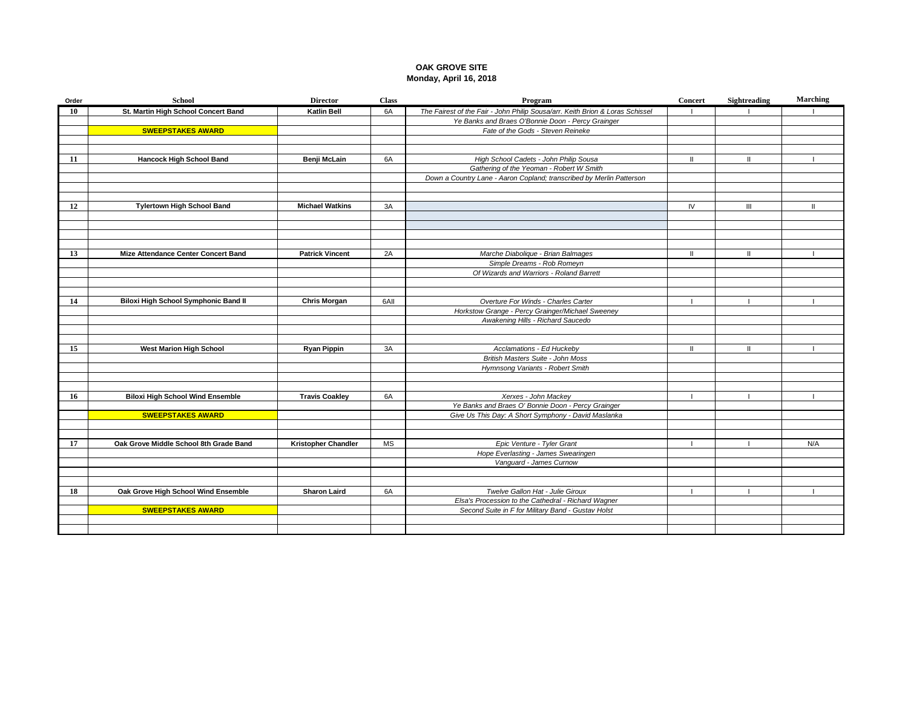#### **OAK GROVE SITE Monday, April 16, 2018**

| Order | <b>School</b>                           | <b>Director</b>        | <b>Class</b> | Program                                                                                                   | <b>Concert</b> | Sightreading   | Marching |
|-------|-----------------------------------------|------------------------|--------------|-----------------------------------------------------------------------------------------------------------|----------------|----------------|----------|
| 10    | St. Martin High School Concert Band     | <b>Katlin Bell</b>     | 6A           | The Fairest of the Fair - John Philip Sousa/arr. Keith Brion & Loras Schissel                             |                |                |          |
|       |                                         |                        |              | Ye Banks and Braes O'Bonnie Doon - Percy Grainger                                                         |                |                |          |
|       | <b>SWEEPSTAKES AWARD</b>                |                        |              | Fate of the Gods - Steven Reineke                                                                         |                |                |          |
|       |                                         |                        |              |                                                                                                           |                |                |          |
|       |                                         |                        |              |                                                                                                           |                |                |          |
| 11    | <b>Hancock High School Band</b>         | Benji McLain           | 6A           | High School Cadets - John Philip Sousa                                                                    | $\mathbf{H}$   | $\mathbf{H}$   |          |
|       |                                         |                        |              | Gathering of the Yeoman - Robert W Smith                                                                  |                |                |          |
|       |                                         |                        |              | Down a Country Lane - Aaron Copland; transcribed by Merlin Patterson                                      |                |                |          |
|       |                                         |                        |              |                                                                                                           |                |                |          |
|       |                                         |                        |              |                                                                                                           |                |                |          |
| 12    | <b>Tylertown High School Band</b>       | <b>Michael Watkins</b> | 3A           |                                                                                                           | IV.            | $\mathbf{III}$ | -II      |
|       |                                         |                        |              |                                                                                                           |                |                |          |
|       |                                         |                        |              |                                                                                                           |                |                |          |
|       |                                         |                        |              |                                                                                                           |                |                |          |
| 13    | Mize Attendance Center Concert Band     | <b>Patrick Vincent</b> | 2A           | Marche Diabolique - Brian Balmages                                                                        | $\mathbf{H}$   | $\mathbf{H}$   |          |
|       |                                         |                        |              | Simple Dreams - Rob Romeyn                                                                                |                |                |          |
|       |                                         |                        |              | Of Wizards and Warriors - Roland Barrett                                                                  |                |                |          |
|       |                                         |                        |              |                                                                                                           |                |                |          |
|       |                                         |                        |              |                                                                                                           |                |                |          |
| 14    | Biloxi High School Symphonic Band II    | <b>Chris Morgan</b>    | 6AII         | Overture For Winds - Charles Carter                                                                       |                |                |          |
|       |                                         |                        |              | Horkstow Grange - Percy Grainger/Michael Sweeney                                                          |                |                |          |
|       |                                         |                        |              | Awakening Hills - Richard Saucedo                                                                         |                |                |          |
|       |                                         |                        |              |                                                                                                           |                |                |          |
|       |                                         |                        |              |                                                                                                           |                |                |          |
| 15    | <b>West Marion High School</b>          | <b>Ryan Pippin</b>     | 3A           | Acclamations - Ed Huckeby                                                                                 | $\mathbf{H}$   | $\mathbf{H}$   |          |
|       |                                         |                        |              | British Masters Suite - John Moss                                                                         |                |                |          |
|       |                                         |                        |              | Hymnsong Variants - Robert Smith                                                                          |                |                |          |
|       |                                         |                        |              |                                                                                                           |                |                |          |
|       |                                         |                        |              |                                                                                                           |                |                |          |
| 16    | <b>Biloxi High School Wind Ensemble</b> | <b>Travis Coakley</b>  | 6A           | Xerxes - John Mackey                                                                                      |                |                |          |
|       |                                         |                        |              | Ye Banks and Braes O' Bonnie Doon - Percy Grainger<br>Give Us This Day: A Short Symphony - David Maslanka |                |                |          |
|       | <b>SWEEPSTAKES AWARD</b>                |                        |              |                                                                                                           |                |                |          |
|       |                                         |                        |              |                                                                                                           |                |                |          |
| 17    | Oak Grove Middle School 8th Grade Band  | Kristopher Chandler    | МS           | Epic Venture - Tyler Grant                                                                                |                |                | N/A      |
|       |                                         |                        |              | Hope Everlasting - James Swearingen                                                                       |                |                |          |
|       |                                         |                        |              | Vanguard - James Curnow                                                                                   |                |                |          |
|       |                                         |                        |              |                                                                                                           |                |                |          |
|       |                                         |                        |              |                                                                                                           |                |                |          |
| 18    | Oak Grove High School Wind Ensemble     | <b>Sharon Laird</b>    | 6A           | Twelve Gallon Hat - Julie Giroux                                                                          |                |                |          |
|       |                                         |                        |              | Elsa's Procession to the Cathedral - Richard Wagner                                                       |                |                |          |
|       | <b>SWEEPSTAKES AWARD</b>                |                        |              | Second Suite in F for Military Band - Gustav Holst                                                        |                |                |          |
|       |                                         |                        |              |                                                                                                           |                |                |          |
|       |                                         |                        |              |                                                                                                           |                |                |          |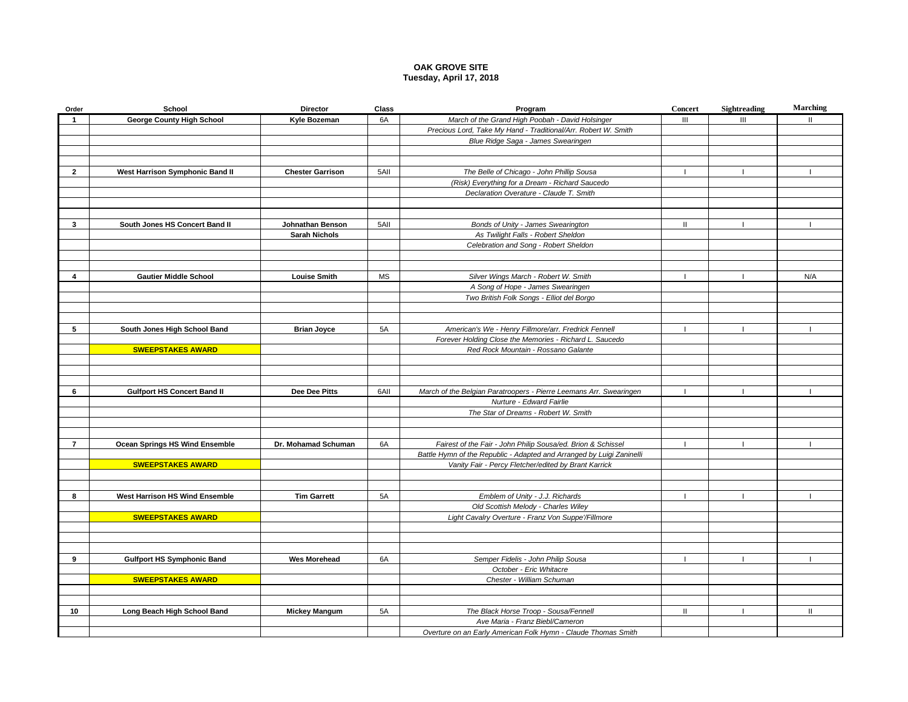#### **OAK GROVE SITE Tuesday, April 17, 2018**

| Order          | School                                | <b>Director</b>         | Class     | Program                                                               | <b>Concert</b> | Sightreading   | <b>Marching</b> |
|----------------|---------------------------------------|-------------------------|-----------|-----------------------------------------------------------------------|----------------|----------------|-----------------|
| $\overline{1}$ | <b>George County High School</b>      | Kyle Bozeman            | 6A        | March of the Grand High Poobah - David Holsinger                      | $\mathbf{III}$ | III            | $\mathbf{H}$    |
|                |                                       |                         |           | Precious Lord, Take My Hand - Traditional/Arr. Robert W. Smith        |                |                |                 |
|                |                                       |                         |           | Blue Ridge Saga - James Swearingen                                    |                |                |                 |
|                |                                       |                         |           |                                                                       |                |                |                 |
|                |                                       |                         |           |                                                                       |                |                |                 |
| $\overline{2}$ | West Harrison Symphonic Band II       | <b>Chester Garrison</b> | 5AII      | The Belle of Chicago - John Phillip Sousa                             | $\blacksquare$ | $\mathbf{I}$   |                 |
|                |                                       |                         |           | (Risk) Everything for a Dream - Richard Saucedo                       |                |                |                 |
|                |                                       |                         |           | Declaration Overature - Claude T. Smith                               |                |                |                 |
|                |                                       |                         |           |                                                                       |                |                |                 |
|                |                                       |                         |           |                                                                       |                |                |                 |
| 3              | South Jones HS Concert Band II        | Johnathan Benson        | 5AII      | Bonds of Unity - James Swearington                                    | $\mathbf{II}$  | $\blacksquare$ |                 |
|                |                                       | <b>Sarah Nichols</b>    |           | As Twilight Falls - Robert Sheldon                                    |                |                |                 |
|                |                                       |                         |           | Celebration and Song - Robert Sheldon                                 |                |                |                 |
|                |                                       |                         |           |                                                                       |                |                |                 |
|                |                                       |                         |           |                                                                       |                |                |                 |
| 4              | <b>Gautier Middle School</b>          | <b>Louise Smith</b>     | <b>MS</b> | Silver Wings March - Robert W. Smith                                  |                |                | N/A             |
|                |                                       |                         |           | A Song of Hope - James Swearingen                                     |                |                |                 |
|                |                                       |                         |           | Two British Folk Songs - Elliot del Borgo                             |                |                |                 |
|                |                                       |                         |           |                                                                       |                |                |                 |
|                |                                       |                         |           |                                                                       |                |                |                 |
| 5              | South Jones High School Band          | <b>Brian Joyce</b>      | 5A        | American's We - Henry Fillmore/arr. Fredrick Fennell                  |                |                |                 |
|                |                                       |                         |           | Forever Holding Close the Memories - Richard L. Saucedo               |                |                |                 |
|                | <b>SWEEPSTAKES AWARD</b>              |                         |           | Red Rock Mountain - Rossano Galante                                   |                |                |                 |
|                |                                       |                         |           |                                                                       |                |                |                 |
|                |                                       |                         |           |                                                                       |                |                |                 |
|                |                                       |                         |           |                                                                       |                |                |                 |
| 6              | <b>Gulfport HS Concert Band II</b>    | Dee Dee Pitts           | 6AII      | March of the Belgian Paratroopers - Pierre Leemans Arr. Swearingen    |                |                |                 |
|                |                                       |                         |           | Nurture - Edward Fairlie                                              |                |                |                 |
|                |                                       |                         |           | The Star of Dreams - Robert W. Smith                                  |                |                |                 |
|                |                                       |                         |           |                                                                       |                |                |                 |
|                |                                       |                         |           |                                                                       |                |                |                 |
| $\overline{7}$ | Ocean Springs HS Wind Ensemble        | Dr. Mohamad Schuman     | 6A        | Fairest of the Fair - John Philip Sousa/ed. Brion & Schissel          | $\mathbf{I}$   | $\mathbf{I}$   |                 |
|                |                                       |                         |           | Battle Hymn of the Republic - Adapted and Arranged by Luigi Zaninelli |                |                |                 |
|                | <b>SWEEPSTAKES AWARD</b>              |                         |           | Vanity Fair - Percy Fletcher/edited by Brant Karrick                  |                |                |                 |
|                |                                       |                         |           |                                                                       |                |                |                 |
|                |                                       |                         |           |                                                                       |                |                |                 |
| 8              | <b>West Harrison HS Wind Ensemble</b> | <b>Tim Garrett</b>      | 5A        | Emblem of Unity - J.J. Richards                                       |                | $\blacksquare$ |                 |
|                |                                       |                         |           | Old Scottish Melody - Charles Wiley                                   |                |                |                 |
|                | <b>SWEEPSTAKES AWARD</b>              |                         |           | Light Cavalry Overture - Franz Von Suppe'/Fillmore                    |                |                |                 |
|                |                                       |                         |           |                                                                       |                |                |                 |
|                |                                       |                         |           |                                                                       |                |                |                 |
|                |                                       |                         |           |                                                                       |                |                |                 |
| 9              | <b>Gulfport HS Symphonic Band</b>     | <b>Wes Morehead</b>     | 6A        | Semper Fidelis - John Philip Sousa                                    | $\mathbf{I}$   | $\mathbf{I}$   |                 |
|                |                                       |                         |           | October - Eric Whitacre                                               |                |                |                 |
|                | <b>SWEEPSTAKES AWARD</b>              |                         |           | Chester - William Schuman                                             |                |                |                 |
|                |                                       |                         |           |                                                                       |                |                |                 |
|                |                                       |                         |           |                                                                       |                |                |                 |
| 10             | Long Beach High School Band           | <b>Mickey Mangum</b>    | 5A        | The Black Horse Troop - Sousa/Fennell                                 | Ш              |                | $\mathbf{H}$    |
|                |                                       |                         |           | Ave Maria - Franz Biebl/Cameron                                       |                |                |                 |
|                |                                       |                         |           | Overture on an Early American Folk Hymn - Claude Thomas Smith         |                |                |                 |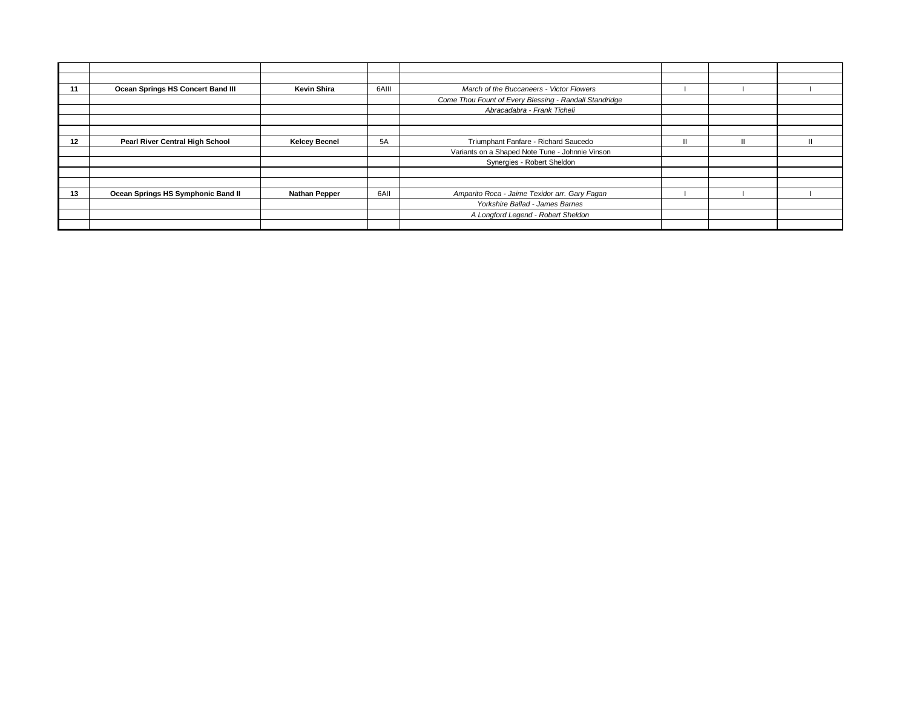| 11 | Ocean Springs HS Concert Band III  | <b>Kevin Shira</b>   | 6AIII | March of the Buccaneers - Victor Flowers               |  |  |
|----|------------------------------------|----------------------|-------|--------------------------------------------------------|--|--|
|    |                                    |                      |       | Come Thou Fount of Every Blessing - Randall Standridge |  |  |
|    |                                    |                      |       | Abracadabra - Frank Ticheli                            |  |  |
|    |                                    |                      |       |                                                        |  |  |
|    |                                    |                      |       |                                                        |  |  |
| 12 | Pearl River Central High School    | <b>Kelcey Becnel</b> | 5A    | Triumphant Fanfare - Richard Saucedo                   |  |  |
|    |                                    |                      |       | Variants on a Shaped Note Tune - Johnnie Vinson        |  |  |
|    |                                    |                      |       | Synergies - Robert Sheldon                             |  |  |
|    |                                    |                      |       |                                                        |  |  |
|    |                                    |                      |       |                                                        |  |  |
| 13 | Ocean Springs HS Symphonic Band II | <b>Nathan Pepper</b> | 6AII  | Amparito Roca - Jaime Texidor arr. Gary Fagan          |  |  |
|    |                                    |                      |       | Yorkshire Ballad - James Barnes                        |  |  |
|    |                                    |                      |       | A Longford Legend - Robert Sheldon                     |  |  |
|    |                                    |                      |       |                                                        |  |  |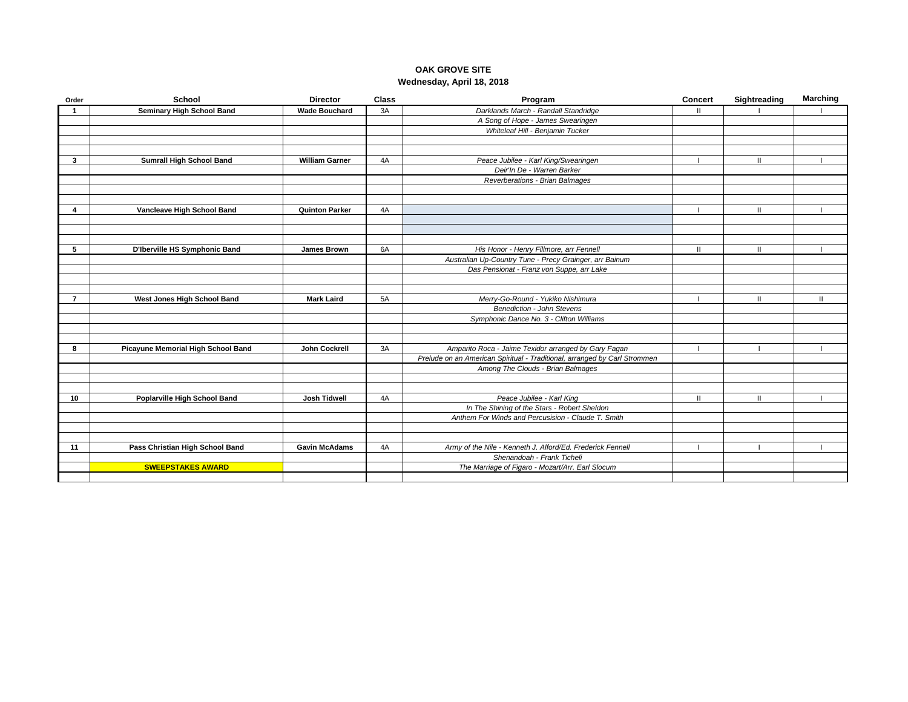## **OAK GROVE SITE Wednesday, April 18, 2018**

| Order          | School                             | <b>Director</b>       | <b>Class</b> | Program                                                                   | <b>Concert</b> | Sightreading  | <b>Marching</b> |
|----------------|------------------------------------|-----------------------|--------------|---------------------------------------------------------------------------|----------------|---------------|-----------------|
| -1             | <b>Seminary High School Band</b>   | <b>Wade Bouchard</b>  | 3A           | Darklands March - Randall Standridge                                      | Ш              |               |                 |
|                |                                    |                       |              | A Song of Hope - James Swearingen                                         |                |               |                 |
|                |                                    |                       |              | Whiteleaf Hill - Benjamin Tucker                                          |                |               |                 |
|                |                                    |                       |              |                                                                           |                |               |                 |
|                |                                    |                       |              |                                                                           |                |               |                 |
| 3              | <b>Sumrall High School Band</b>    | <b>William Garner</b> | 4A           | Peace Jubilee - Karl King/Swearingen                                      |                | $\mathbf{H}$  |                 |
|                |                                    |                       |              | Deir'In De - Warren Barker                                                |                |               |                 |
|                |                                    |                       |              | Reverberations - Brian Balmages                                           |                |               |                 |
|                |                                    |                       |              |                                                                           |                |               |                 |
|                |                                    |                       |              |                                                                           |                |               |                 |
| 4              | Vancleave High School Band         | <b>Quinton Parker</b> | 4A           |                                                                           |                | $\mathbf{H}$  |                 |
|                |                                    |                       |              |                                                                           |                |               |                 |
|                |                                    |                       |              |                                                                           |                |               |                 |
|                |                                    |                       |              |                                                                           |                |               |                 |
| 5              | D'Iberville HS Symphonic Band      | James Brown           | 6A           | His Honor - Henry Fillmore, arr Fennell                                   | Ш              | $\mathbf{II}$ |                 |
|                |                                    |                       |              | Australian Up-Country Tune - Precy Grainger, arr Bainum                   |                |               |                 |
|                |                                    |                       |              | Das Pensionat - Franz von Suppe, arr Lake                                 |                |               |                 |
|                |                                    |                       |              |                                                                           |                |               |                 |
|                |                                    |                       |              |                                                                           |                |               |                 |
| $\overline{7}$ | West Jones High School Band        | <b>Mark Laird</b>     | 5A           | Merry-Go-Round - Yukiko Nishimura                                         |                | $\mathbf{H}$  | Ш               |
|                |                                    |                       |              | <b>Benediction - John Stevens</b>                                         |                |               |                 |
|                |                                    |                       |              | Symphonic Dance No. 3 - Clifton Williams                                  |                |               |                 |
|                |                                    |                       |              |                                                                           |                |               |                 |
|                |                                    |                       |              |                                                                           |                |               |                 |
| 8              | Picayune Memorial High School Band | John Cockrell         | 3A           | Amparito Roca - Jaime Texidor arranged by Gary Fagan                      |                |               |                 |
|                |                                    |                       |              | Prelude on an American Spiritual - Traditional, arranged by Carl Strommen |                |               |                 |
|                |                                    |                       |              | Among The Clouds - Brian Balmages                                         |                |               |                 |
|                |                                    |                       |              |                                                                           |                |               |                 |
|                |                                    |                       |              |                                                                           |                |               |                 |
| 10             | Poplarville High School Band       | <b>Josh Tidwell</b>   | 4A           | Peace Jubilee - Karl King                                                 | Ш              | $\mathbf{II}$ |                 |
|                |                                    |                       |              | In The Shining of the Stars - Robert Sheldon                              |                |               |                 |
|                |                                    |                       |              | Anthem For Winds and Percusision - Claude T. Smith                        |                |               |                 |
|                |                                    |                       |              |                                                                           |                |               |                 |
|                |                                    |                       |              |                                                                           |                |               |                 |
| 11             | Pass Christian High School Band    | <b>Gavin McAdams</b>  | 4A           | Army of the Nile - Kenneth J. Alford/Ed. Frederick Fennell                |                |               |                 |
|                |                                    |                       |              | Shenandoah - Frank Ticheli                                                |                |               |                 |
|                | <b>SWEEPSTAKES AWARD</b>           |                       |              | The Marriage of Figaro - Mozart/Arr. Earl Slocum                          |                |               |                 |
|                |                                    |                       |              |                                                                           |                |               |                 |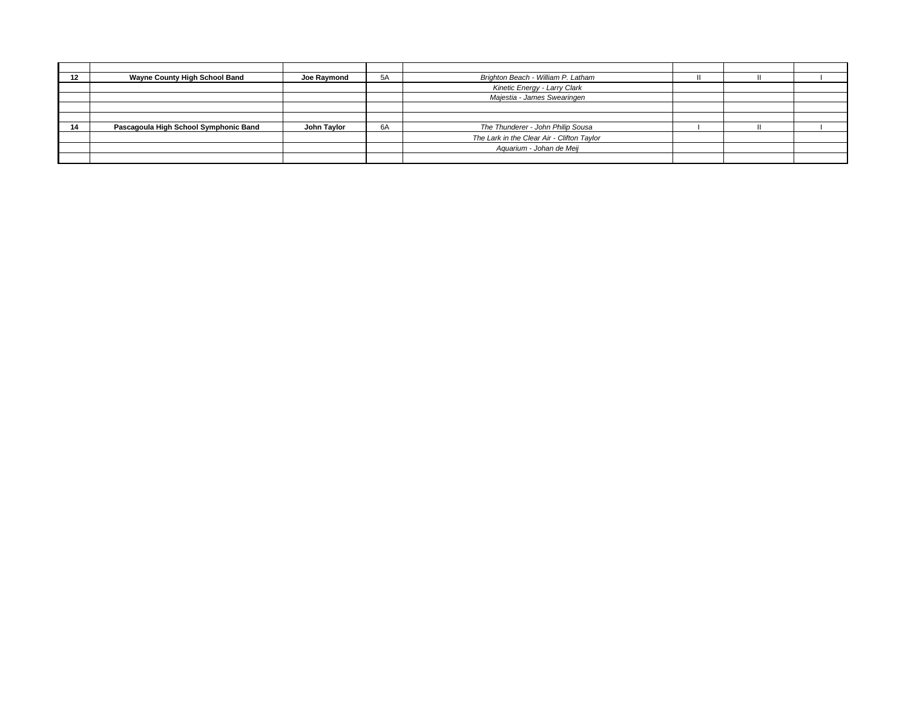| 12 | Wayne County High School Band         | Joe Raymond | 5A | Brighton Beach - William P. Latham         |  |  |
|----|---------------------------------------|-------------|----|--------------------------------------------|--|--|
|    |                                       |             |    | Kinetic Energy - Larry Clark               |  |  |
|    |                                       |             |    | Majestia - James Swearingen                |  |  |
|    |                                       |             |    |                                            |  |  |
|    |                                       |             |    |                                            |  |  |
| 14 | Pascagoula High School Symphonic Band | John Taylor | 6A | The Thunderer - John Philip Sousa          |  |  |
|    |                                       |             |    | The Lark in the Clear Air - Clifton Taylor |  |  |
|    |                                       |             |    | Aquarium - Johan de Meij                   |  |  |
|    |                                       |             |    |                                            |  |  |